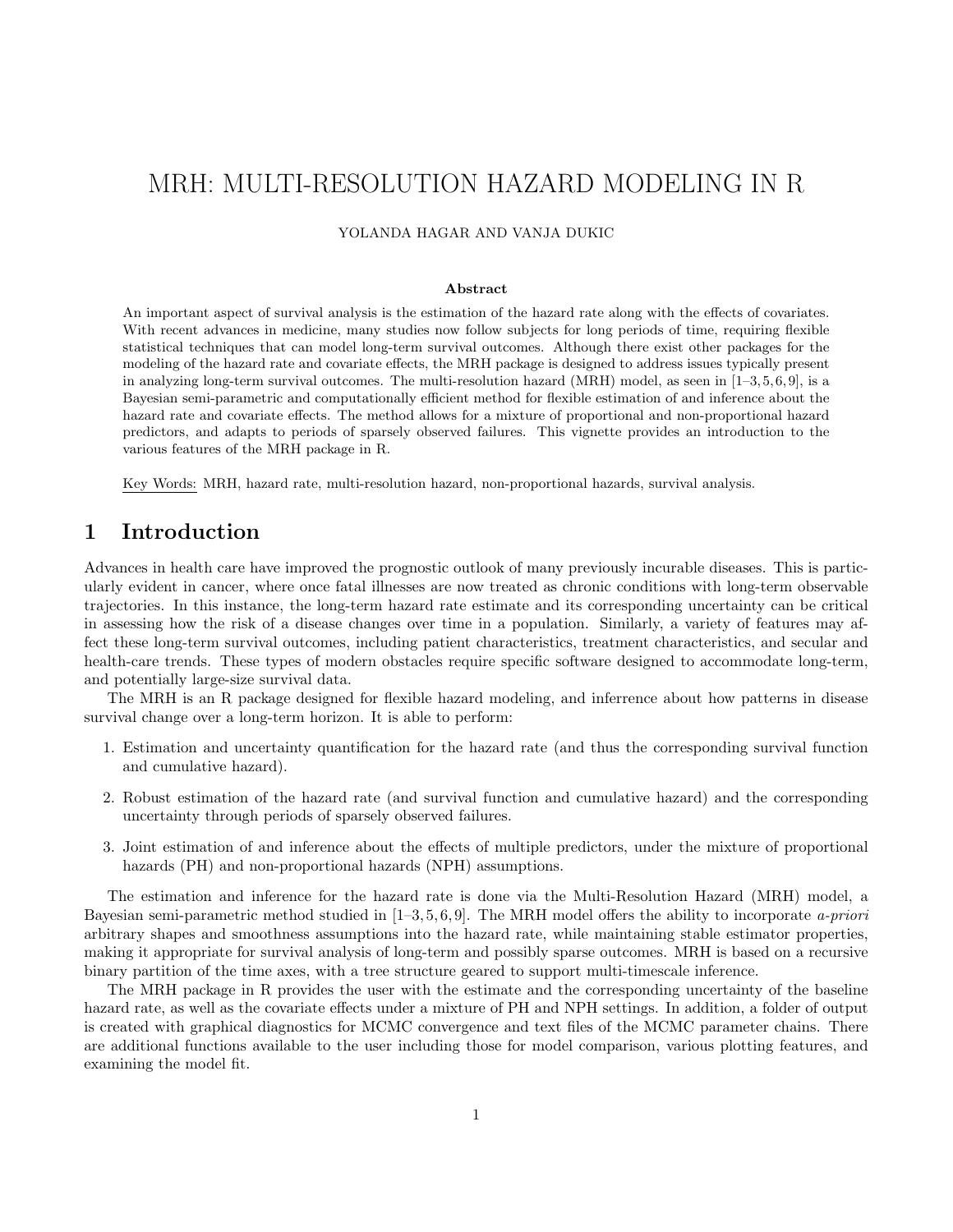# MRH: MULTI-RESOLUTION HAZARD MODELING IN R

#### YOLANDA HAGAR AND VANJA DUKIC

#### Abstract

An important aspect of survival analysis is the estimation of the hazard rate along with the effects of covariates. With recent advances in medicine, many studies now follow subjects for long periods of time, requiring flexible statistical techniques that can model long-term survival outcomes. Although there exist other packages for the modeling of the hazard rate and covariate effects, the MRH package is designed to address issues typically present in analyzing long-term survival outcomes. The multi-resolution hazard  $(MRH)$  model, as seen in  $[1-3, 5, 6, 9]$ , is a Bayesian semi-parametric and computationally efficient method for flexible estimation of and inference about the hazard rate and covariate effects. The method allows for a mixture of proportional and non-proportional hazard predictors, and adapts to periods of sparsely observed failures. This vignette provides an introduction to the various features of the MRH package in R.

Key Words: MRH, hazard rate, multi-resolution hazard, non-proportional hazards, survival analysis.

## 1 Introduction

Advances in health care have improved the prognostic outlook of many previously incurable diseases. This is particularly evident in cancer, where once fatal illnesses are now treated as chronic conditions with long-term observable trajectories. In this instance, the long-term hazard rate estimate and its corresponding uncertainty can be critical in assessing how the risk of a disease changes over time in a population. Similarly, a variety of features may affect these long-term survival outcomes, including patient characteristics, treatment characteristics, and secular and health-care trends. These types of modern obstacles require specific software designed to accommodate long-term, and potentially large-size survival data.

The MRH is an R package designed for flexible hazard modeling, and inferrence about how patterns in disease survival change over a long-term horizon. It is able to perform:

- 1. Estimation and uncertainty quantification for the hazard rate (and thus the corresponding survival function and cumulative hazard).
- 2. Robust estimation of the hazard rate (and survival function and cumulative hazard) and the corresponding uncertainty through periods of sparsely observed failures.
- 3. Joint estimation of and inference about the effects of multiple predictors, under the mixture of proportional hazards (PH) and non-proportional hazards (NPH) assumptions.

The estimation and inference for the hazard rate is done via the Multi-Resolution Hazard (MRH) model, a Bayesian semi-parametric method studied in  $[1-3, 5, 6, 9]$ . The MRH model offers the ability to incorporate *a-priori* arbitrary shapes and smoothness assumptions into the hazard rate, while maintaining stable estimator properties, making it appropriate for survival analysis of long-term and possibly sparse outcomes. MRH is based on a recursive binary partition of the time axes, with a tree structure geared to support multi-timescale inference.

The MRH package in R provides the user with the estimate and the corresponding uncertainty of the baseline hazard rate, as well as the covariate effects under a mixture of PH and NPH settings. In addition, a folder of output is created with graphical diagnostics for MCMC convergence and text files of the MCMC parameter chains. There are additional functions available to the user including those for model comparison, various plotting features, and examining the model fit.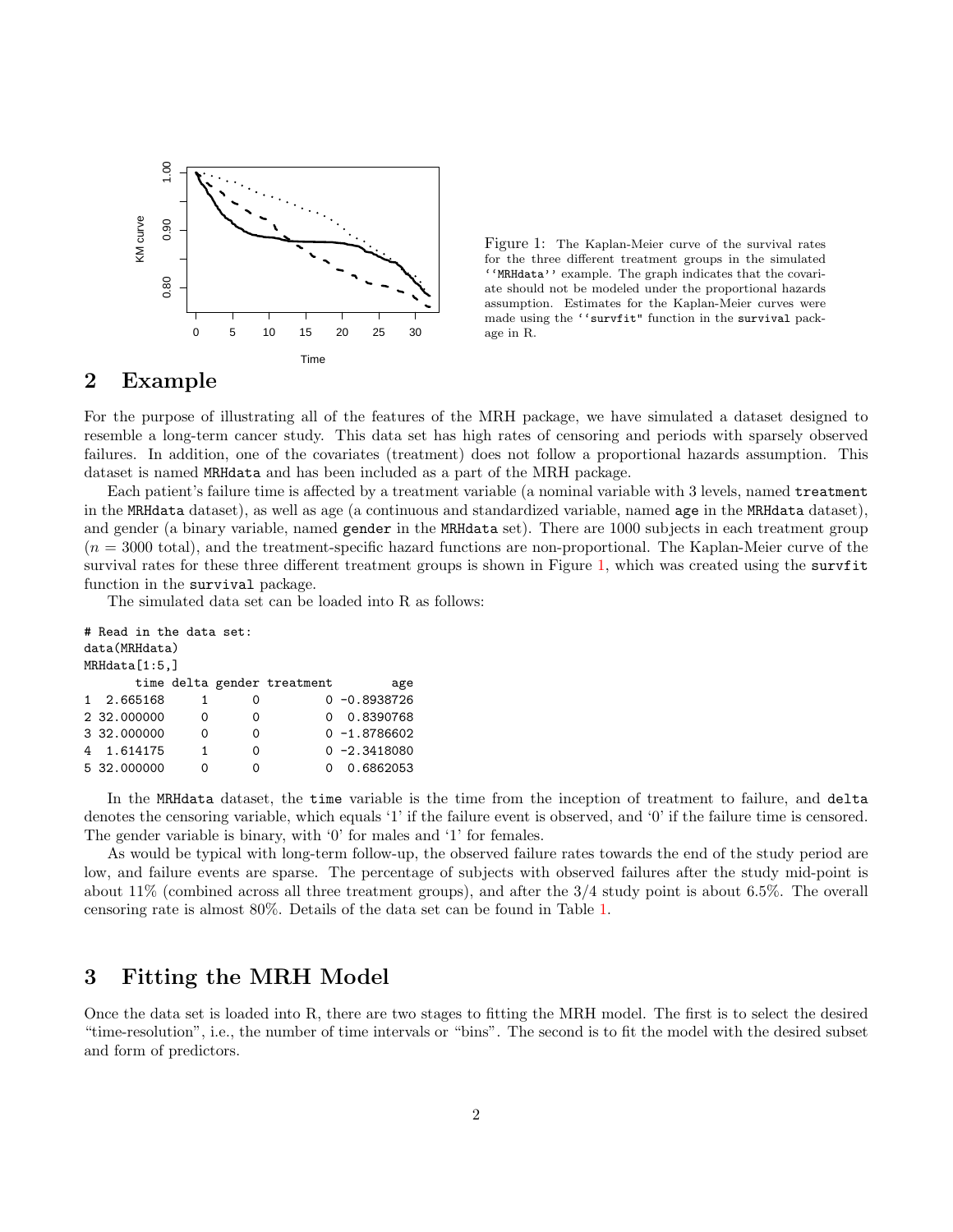

<span id="page-1-0"></span>Figure 1: The Kaplan-Meier curve of the survival rates for the three different treatment groups in the simulated ''MRHdata'' example. The graph indicates that the covariate should not be modeled under the proportional hazards assumption. Estimates for the Kaplan-Meier curves were made using the ''survfit" function in the survival package in R.

# 2 Example

For the purpose of illustrating all of the features of the MRH package, we have simulated a dataset designed to resemble a long-term cancer study. This data set has high rates of censoring and periods with sparsely observed failures. In addition, one of the covariates (treatment) does not follow a proportional hazards assumption. This dataset is named MRHdata and has been included as a part of the MRH package.

Each patient's failure time is affected by a treatment variable (a nominal variable with 3 levels, named treatment in the MRHdata dataset), as well as age (a continuous and standardized variable, named age in the MRHdata dataset), and gender (a binary variable, named gender in the MRHdata set). There are 1000 subjects in each treatment group  $(n = 3000$  total), and the treatment-specific hazard functions are non-proportional. The Kaplan-Meier curve of the survival rates for these three different treatment groups is shown in Figure [1,](#page-1-0) which was created using the survfit function in the survival package.

The simulated data set can be loaded into R as follows:

| # Read in the data set: |             |  |          |   |                             |                 |  |  |  |
|-------------------------|-------------|--|----------|---|-----------------------------|-----------------|--|--|--|
| data(MRHdata)           |             |  |          |   |                             |                 |  |  |  |
| MRHdata[1:5.]           |             |  |          |   |                             |                 |  |  |  |
|                         |             |  |          |   | time delta gender treatment | age             |  |  |  |
|                         | 1 2.665168  |  | 1        | Ω |                             | $0 - 0.8938726$ |  |  |  |
|                         | 2 32,000000 |  | $\Omega$ | 0 |                             | 0 0.8390768     |  |  |  |
|                         | 3 32,000000 |  | 0        | 0 |                             | $0 - 1.8786602$ |  |  |  |
|                         | 4 1.614175  |  | 1        | 0 |                             | $0 -2.3418080$  |  |  |  |
|                         | 5 32,000000 |  | ∩        |   |                             | 0.6862053       |  |  |  |
|                         |             |  |          |   |                             |                 |  |  |  |

In the MRHdata dataset, the time variable is the time from the inception of treatment to failure, and delta denotes the censoring variable, which equals '1' if the failure event is observed, and '0' if the failure time is censored. The gender variable is binary, with '0' for males and '1' for females.

As would be typical with long-term follow-up, the observed failure rates towards the end of the study period are low, and failure events are sparse. The percentage of subjects with observed failures after the study mid-point is about 11% (combined across all three treatment groups), and after the 3/4 study point is about 6.5%. The overall censoring rate is almost 80%. Details of the data set can be found in Table [1.](#page-2-0)

# 3 Fitting the MRH Model

Once the data set is loaded into R, there are two stages to fitting the MRH model. The first is to select the desired "time-resolution", i.e., the number of time intervals or "bins". The second is to fit the model with the desired subset and form of predictors.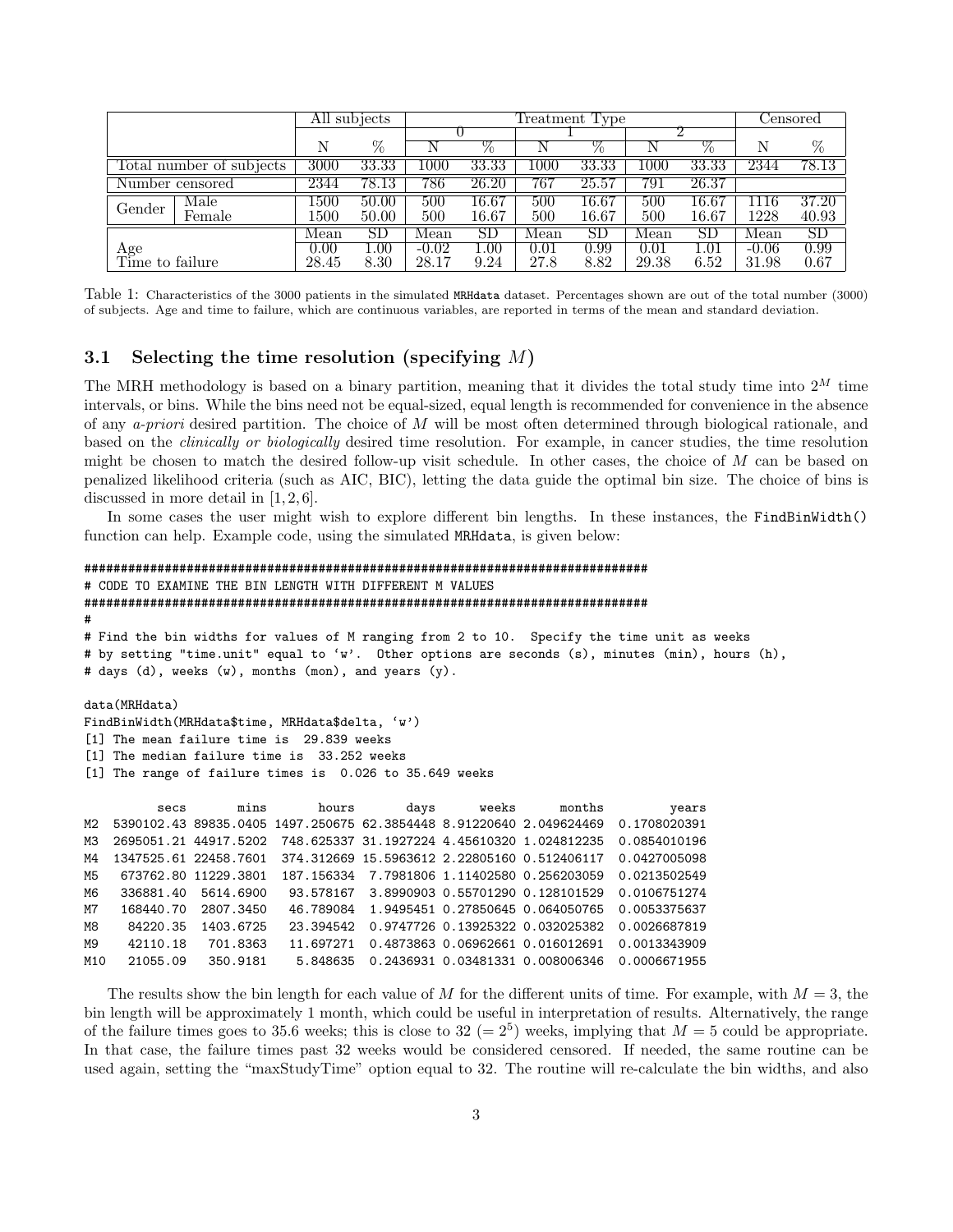|                          |        | All subjects |       | Treatment Type |       |          |            |          |                     | Censored |             |
|--------------------------|--------|--------------|-------|----------------|-------|----------|------------|----------|---------------------|----------|-------------|
|                          |        |              |       |                |       |          |            |          |                     |          |             |
|                          |        | N            | %     |                | V     |          | %          |          | $\%$                | N        | %           |
| Total number of subjects |        | 3000         | 33.33 | $1000\,$       | 33.33 | $1000\,$ | 33.33      | $1000\,$ | 33.33               | 2344     | 78.13       |
| Number censored          |        | 2344         | 78.13 | 786            | 26.20 | 767      | 25.57      | 791      | 26.37               |          |             |
| Gender                   | Male   | $1500\,$     | 50.00 | 500            | 16.67 | 500      | $16.67\,$  | 500      | 16.67               | 1116     | 37.20       |
|                          | Female | 1500         | 50.00 | 500            | 16.67 | 500      | 16.67      | 500      | 16.67               | 1228     | 40.93       |
|                          |        | Mean         | SD    | Mean           | SD    | Mean     | ${\rm SD}$ | Mean     | $\operatorname{SD}$ | Mean     | $_{\rm SD}$ |
| Age                      |        | 0.00         | 1.00  | $-0.02$        | 1.00  | 0.01     | 0.99       | 0.01     | 1.01                | $-0.06$  | 0.99        |
| Time to failure          |        | 28.45        | 8.30  | 28.17          | 9.24  | 27.8     | 8.82       | 29.38    | 6.52                | 31.98    | 0.67        |

<span id="page-2-0"></span>Table 1: Characteristics of the 3000 patients in the simulated MRHdata dataset. Percentages shown are out of the total number (3000) of subjects. Age and time to failure, which are continuous variables, are reported in terms of the mean and standard deviation.

#### 3.1 Selecting the time resolution (specifying  $M$ )

The MRH methodology is based on a binary partition, meaning that it divides the total study time into  $2^M$  time intervals, or bins. While the bins need not be equal-sized, equal length is recommended for convenience in the absence of any  $a$ -priori desired partition. The choice of M will be most often determined through biological rationale, and based on the clinically or biologically desired time resolution. For example, in cancer studies, the time resolution might be chosen to match the desired follow-up visit schedule. In other cases, the choice of M can be based on penalized likelihood criteria (such as AIC, BIC), letting the data guide the optimal bin size. The choice of bins is discussed in more detail in [1, 2, 6].

In some cases the user might wish to explore different bin lengths. In these instances, the FindBinWidth() function can help. Example code, using the simulated MRHdata, is given below:

```
#############################################################################
# CODE TO EXAMINE THE BIN LENGTH WITH DIFFERENT M VALUES
#############################################################################
#
# Find the bin widths for values of M ranging from 2 to 10. Specify the time unit as weeks
# by setting "time.unit" equal to 'w'. Other options are seconds (s), minutes (min), hours (h),
# days (d), weeks (w), months (mon), and years (y).
data(MRHdata)
FindBinWidth(MRHdata$time, MRHdata$delta, 'w')
[1] The mean failure time is 29.839 weeks
[1] The median failure time is 33.252 weeks
[1] The range of failure times is 0.026 to 35.649 weeks
         secs mins hours days weeks months years
M2 5390102.43 89835.0405 1497.250675 62.3854448 8.91220640 2.049624469 0.1708020391
M3 2695051.21 44917.5202 748.625337 31.1927224 4.45610320 1.024812235 0.0854010196
M4 1347525.61 22458.7601 374.312669 15.5963612 2.22805160 0.512406117 0.0427005098
M5 673762.80 11229.3801 187.156334 7.7981806 1.11402580 0.256203059 0.0213502549
M6 336881.40 5614.6900 93.578167 3.8990903 0.55701290 0.128101529 0.0106751274
M7 168440.70 2807.3450 46.789084 1.9495451 0.27850645 0.064050765 0.0053375637
M8 84220.35 1403.6725 23.394542 0.9747726 0.13925322 0.032025382 0.0026687819
M9 42110.18 701.8363 11.697271 0.4873863 0.06962661 0.016012691 0.0013343909
M10 21055.09 350.9181 5.848635 0.2436931 0.03481331 0.008006346 0.0006671955
```
The results show the bin length for each value of M for the different units of time. For example, with  $M = 3$ , the bin length will be approximately 1 month, which could be useful in interpretation of results. Alternatively, the range of the failure times goes to 35.6 weeks; this is close to 32 (=  $2^5$ ) weeks, implying that  $M = 5$  could be appropriate. In that case, the failure times past 32 weeks would be considered censored. If needed, the same routine can be used again, setting the "maxStudyTime" option equal to 32. The routine will re-calculate the bin widths, and also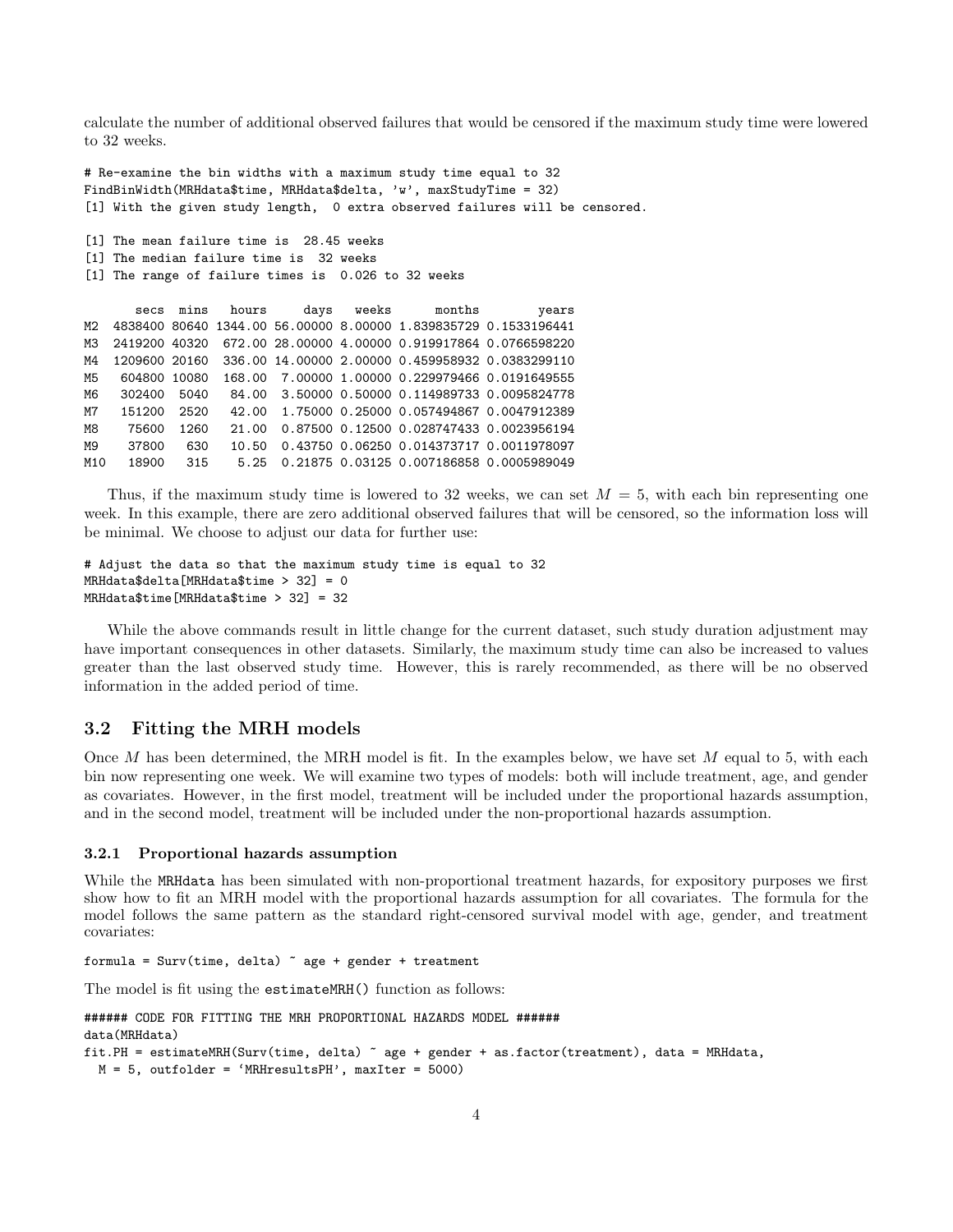calculate the number of additional observed failures that would be censored if the maximum study time were lowered to 32 weeks.

```
# Re-examine the bin widths with a maximum study time equal to 32
FindBinWidth(MRHdata$time, MRHdata$delta, 'w', maxStudyTime = 32)
[1] With the given study length, 0 extra observed failures will be censored.
[1] The mean failure time is 28.45 weeks
[1] The median failure time is 32 weeks
[1] The range of failure times is 0.026 to 32 weeks
      secs mins hours days weeks months years
M2 4838400 80640 1344.00 56.00000 8.00000 1.839835729 0.1533196441
M3 2419200 40320 672.00 28.00000 4.00000 0.919917864 0.0766598220
M4 1209600 20160 336.00 14.00000 2.00000 0.459958932 0.0383299110
M5 604800 10080 168.00 7.00000 1.00000 0.229979466 0.0191649555
M6 302400 5040 84.00 3.50000 0.50000 0.114989733 0.0095824778
M7 151200 2520 42.00 1.75000 0.25000 0.057494867 0.0047912389
M8 75600 1260 21.00 0.87500 0.12500 0.028747433 0.0023956194
M9 37800 630 10.50 0.43750 0.06250 0.014373717 0.0011978097
M10 18900 315 5.25 0.21875 0.03125 0.007186858 0.0005989049
```
Thus, if the maximum study time is lowered to 32 weeks, we can set  $M = 5$ , with each bin representing one week. In this example, there are zero additional observed failures that will be censored, so the information loss will be minimal. We choose to adjust our data for further use:

```
# Adjust the data so that the maximum study time is equal to 32
MRHdata$delta[MRHdata$time > 32] = 0
MRHdata$time[MRHdata$time > 32] = 32
```
While the above commands result in little change for the current dataset, such study duration adjustment may have important consequences in other datasets. Similarly, the maximum study time can also be increased to values greater than the last observed study time. However, this is rarely recommended, as there will be no observed information in the added period of time.

#### 3.2 Fitting the MRH models

Once M has been determined, the MRH model is fit. In the examples below, we have set M equal to 5, with each bin now representing one week. We will examine two types of models: both will include treatment, age, and gender as covariates. However, in the first model, treatment will be included under the proportional hazards assumption, and in the second model, treatment will be included under the non-proportional hazards assumption.

#### 3.2.1 Proportional hazards assumption

While the MRHdata has been simulated with non-proportional treatment hazards, for expository purposes we first show how to fit an MRH model with the proportional hazards assumption for all covariates. The formula for the model follows the same pattern as the standard right-censored survival model with age, gender, and treatment covariates:

formula =  $Surv$ (time, delta)  $\tilde{ }$  age + gender + treatment

The model is fit using the estimateMRH() function as follows:

```
###### CODE FOR FITTING THE MRH PROPORTIONAL HAZARDS MODEL ######
data(MRHdata)
fit.PH = estimateMRH(Surv(time, delta) ~ age + gender + as.factor(treatment), data = MRHdata,
 M = 5, outfolder = 'MRHresultsPH', maxIter = 5000)
```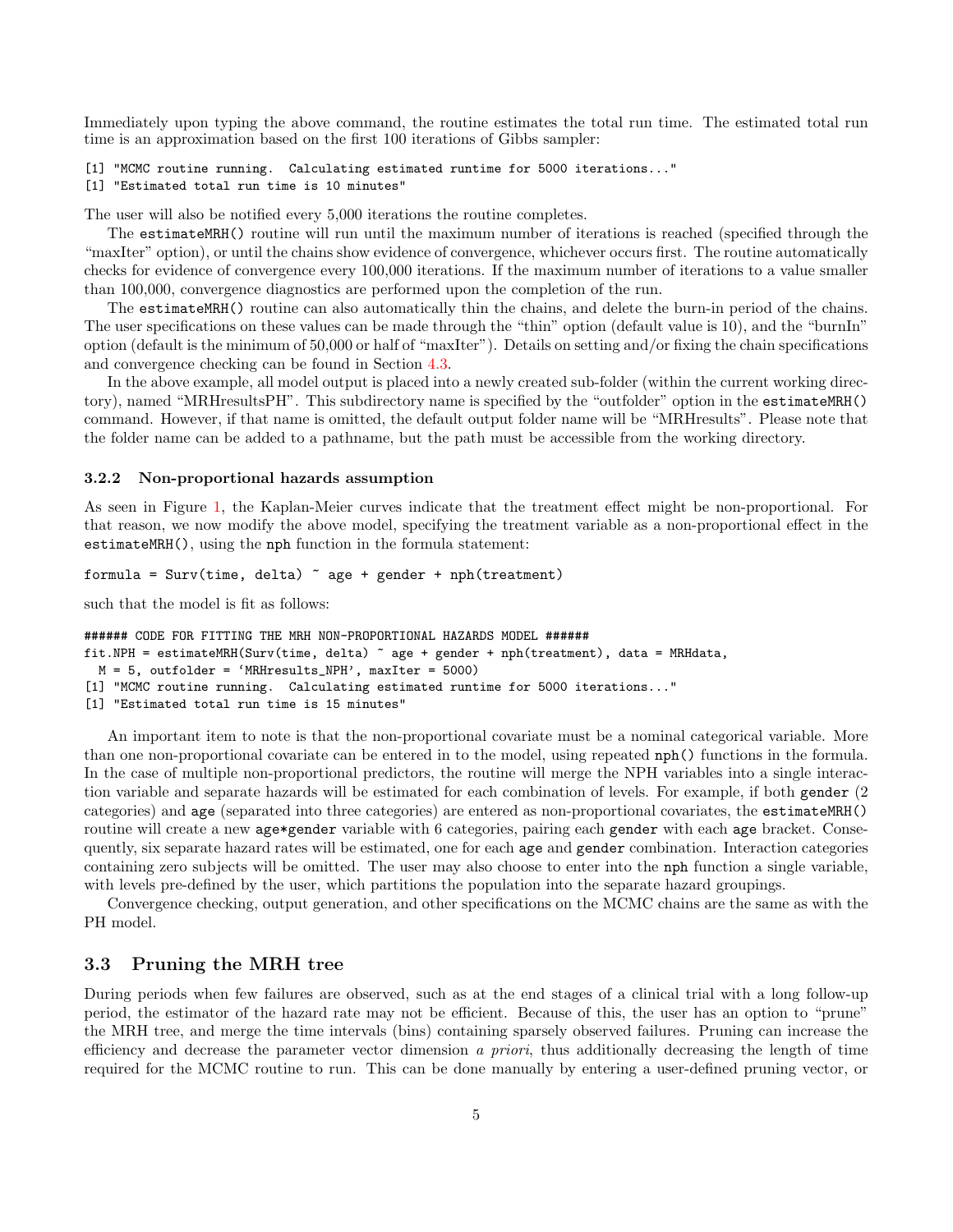Immediately upon typing the above command, the routine estimates the total run time. The estimated total run time is an approximation based on the first 100 iterations of Gibbs sampler:

```
[1] "MCMC routine running. Calculating estimated runtime for 5000 iterations..."
[1] "Estimated total run time is 10 minutes"
```
The user will also be notified every 5,000 iterations the routine completes.

The estimateMRH() routine will run until the maximum number of iterations is reached (specified through the "maxIter" option), or until the chains show evidence of convergence, whichever occurs first. The routine automatically checks for evidence of convergence every 100,000 iterations. If the maximum number of iterations to a value smaller than 100,000, convergence diagnostics are performed upon the completion of the run.

The estimateMRH() routine can also automatically thin the chains, and delete the burn-in period of the chains. The user specifications on these values can be made through the "thin" option (default value is 10), and the "burnIn" option (default is the minimum of 50,000 or half of "maxIter"). Details on setting and/or fixing the chain specifications and convergence checking can be found in Section [4.3.](#page-10-0)

In the above example, all model output is placed into a newly created sub-folder (within the current working directory), named "MRHresultsPH". This subdirectory name is specified by the "outfolder" option in the estimateMRH() command. However, if that name is omitted, the default output folder name will be "MRHresults". Please note that the folder name can be added to a pathname, but the path must be accessible from the working directory.

#### <span id="page-4-0"></span>3.2.2 Non-proportional hazards assumption

As seen in Figure [1,](#page-1-0) the Kaplan-Meier curves indicate that the treatment effect might be non-proportional. For that reason, we now modify the above model, specifying the treatment variable as a non-proportional effect in the estimateMRH(), using the nph function in the formula statement:

```
formula = Surv(time, delta) \tilde{ } age + gender + nph(treatment)
```
such that the model is fit as follows:

```
###### CODE FOR FITTING THE MRH NON-PROPORTIONAL HAZARDS MODEL ######
fit.NPH = estimateMRH(Surv(time, delta) ~ age + gender + nph(treatment), data = MRHdata,
 M = 5, outfolder = 'MRHresults_NPH', maxIter = 5000)
[1] "MCMC routine running. Calculating estimated runtime for 5000 iterations..."
[1] "Estimated total run time is 15 minutes"
```
An important item to note is that the non-proportional covariate must be a nominal categorical variable. More than one non-proportional covariate can be entered in to the model, using repeated nph() functions in the formula. In the case of multiple non-proportional predictors, the routine will merge the NPH variables into a single interaction variable and separate hazards will be estimated for each combination of levels. For example, if both gender (2 categories) and age (separated into three categories) are entered as non-proportional covariates, the estimateMRH() routine will create a new age\*gender variable with 6 categories, pairing each gender with each age bracket. Consequently, six separate hazard rates will be estimated, one for each age and gender combination. Interaction categories containing zero subjects will be omitted. The user may also choose to enter into the nph function a single variable, with levels pre-defined by the user, which partitions the population into the separate hazard groupings.

Convergence checking, output generation, and other specifications on the MCMC chains are the same as with the PH model.

#### 3.3 Pruning the MRH tree

During periods when few failures are observed, such as at the end stages of a clinical trial with a long follow-up period, the estimator of the hazard rate may not be efficient. Because of this, the user has an option to "prune" the MRH tree, and merge the time intervals (bins) containing sparsely observed failures. Pruning can increase the efficiency and decrease the parameter vector dimension  $\alpha$  priori, thus additionally decreasing the length of time required for the MCMC routine to run. This can be done manually by entering a user-defined pruning vector, or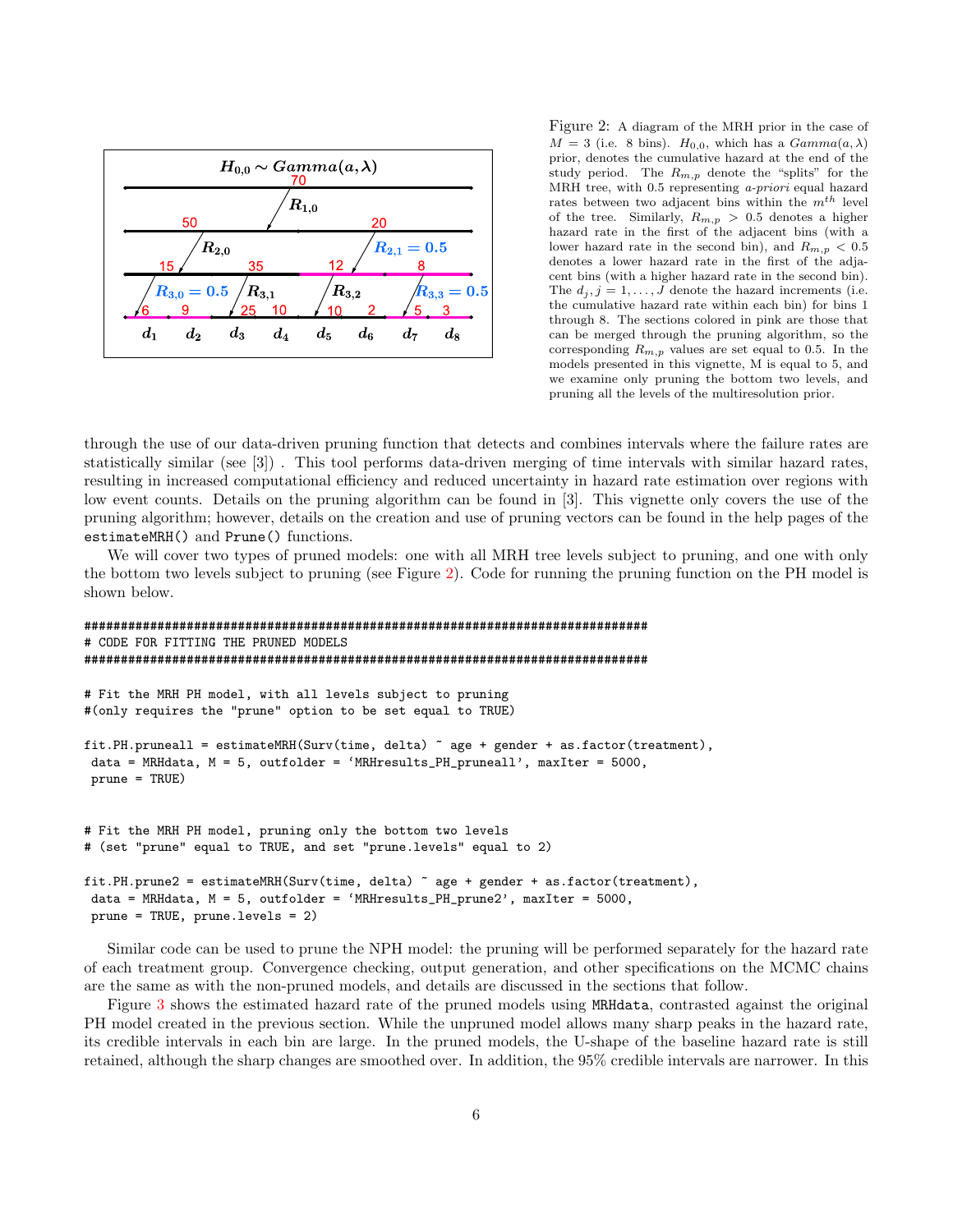

<span id="page-5-0"></span>Figure 2: A diagram of the MRH prior in the case of  $M = 3$  (i.e. 8 bins).  $H_{0,0}$ , which has a  $Gamma(a, \lambda)$ prior, denotes the cumulative hazard at the end of the study period. The  $R_{m,p}$  denote the "splits" for the MRH tree, with 0.5 representing a-priori equal hazard rates between two adjacent bins within the  $m^{th}$  level of the tree. Similarly,  $R_{m,p} > 0.5$  denotes a higher hazard rate in the first of the adjacent bins (with a lower hazard rate in the second bin), and  $R_{m,p} < 0.5$ denotes a lower hazard rate in the first of the adjacent bins (with a higher hazard rate in the second bin). The  $d_j$ ,  $j = 1, \ldots, J$  denote the hazard increments (i.e. the cumulative hazard rate within each bin) for bins 1 through 8. The sections colored in pink are those that can be merged through the pruning algorithm, so the corresponding  $R_{m,p}$  values are set equal to 0.5. In the models presented in this vignette, M is equal to 5, and we examine only pruning the bottom two levels, and pruning all the levels of the multiresolution prior.

through the use of our data-driven pruning function that detects and combines intervals where the failure rates are statistically similar (see [3]) . This tool performs data-driven merging of time intervals with similar hazard rates, resulting in increased computational efficiency and reduced uncertainty in hazard rate estimation over regions with low event counts. Details on the pruning algorithm can be found in [3]. This vignette only covers the use of the pruning algorithm; however, details on the creation and use of pruning vectors can be found in the help pages of the estimateMRH() and Prune() functions.

We will cover two types of pruned models: one with all MRH tree levels subject to pruning, and one with only the bottom two levels subject to pruning (see Figure [2\)](#page-5-0). Code for running the pruning function on the PH model is shown below.

```
#############################################################################
# CODE FOR FITTING THE PRUNED MODELS
#############################################################################
# Fit the MRH PH model, with all levels subject to pruning
#(only requires the "prune" option to be set equal to TRUE)
fit.PH.pruneall = estimateMRH(Surv(time, delta) ~ age + gender + as.factor(treatment),
data = MRHdata, M = 5, outfolder = 'MRHresults_PH_pruneall', maxIter = 5000,
prune = TRUE)
# Fit the MRH PH model, pruning only the bottom two levels
# (set "prune" equal to TRUE, and set "prune.levels" equal to 2)
fit.PH.prune2 = estimateMRH(Surv(time, delta) ~ age + gender + as.factor(treatment),
data = MRHdata, M = 5, outfolder = 'MRHresults_PH_prune2', maxIter = 5000,
prune = TRUE, prune.levels = 2)
```
Similar code can be used to prune the NPH model: the pruning will be performed separately for the hazard rate of each treatment group. Convergence checking, output generation, and other specifications on the MCMC chains are the same as with the non-pruned models, and details are discussed in the sections that follow.

Figure [3](#page-6-0) shows the estimated hazard rate of the pruned models using MRHdata, contrasted against the original PH model created in the previous section. While the unpruned model allows many sharp peaks in the hazard rate, its credible intervals in each bin are large. In the pruned models, the U-shape of the baseline hazard rate is still retained, although the sharp changes are smoothed over. In addition, the 95% credible intervals are narrower. In this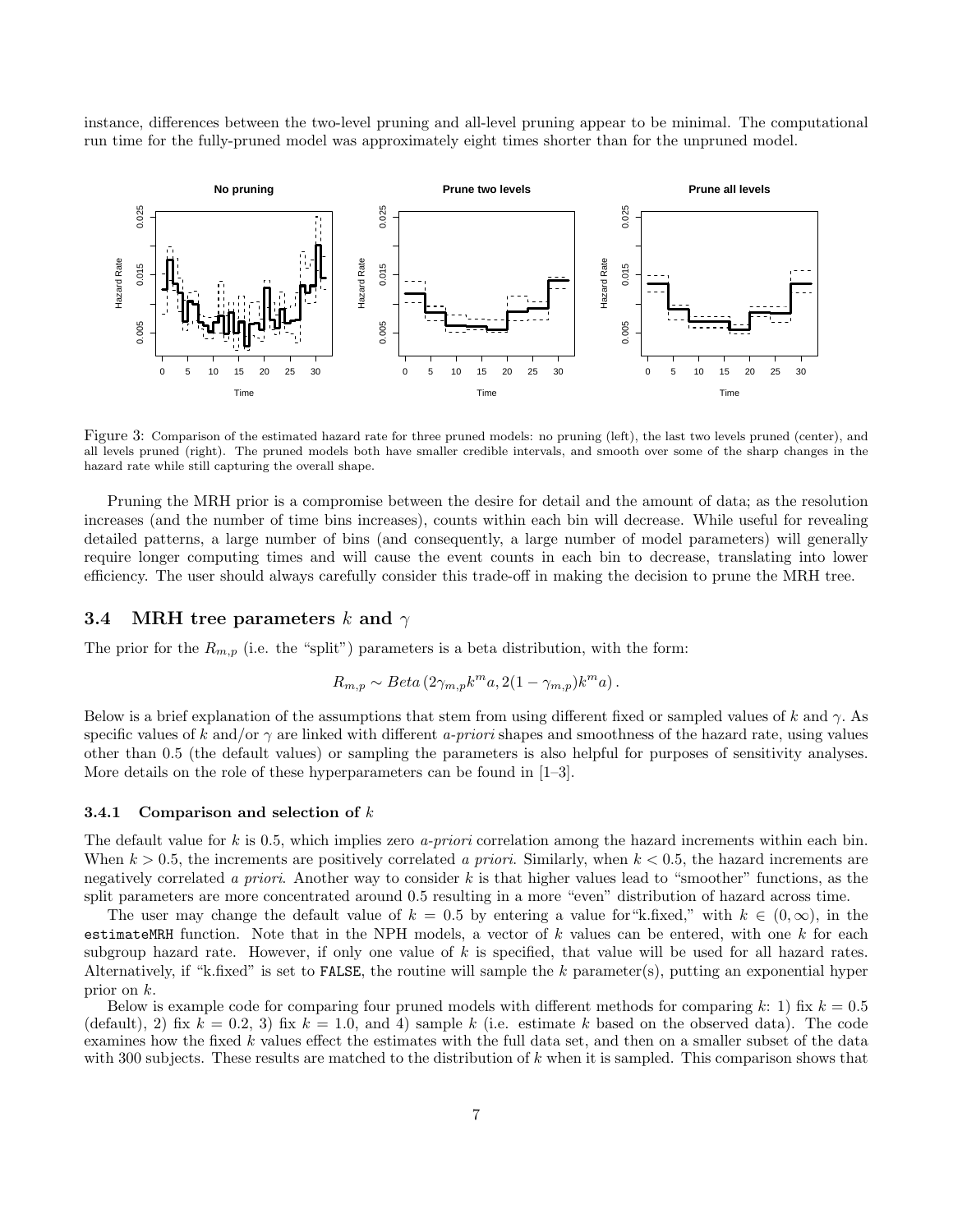instance, differences between the two-level pruning and all-level pruning appear to be minimal. The computational run time for the fully-pruned model was approximately eight times shorter than for the unpruned model.



<span id="page-6-0"></span>Figure 3: Comparison of the estimated hazard rate for three pruned models: no pruning (left), the last two levels pruned (center), and all levels pruned (right). The pruned models both have smaller credible intervals, and smooth over some of the sharp changes in the hazard rate while still capturing the overall shape.

Pruning the MRH prior is a compromise between the desire for detail and the amount of data; as the resolution increases (and the number of time bins increases), counts within each bin will decrease. While useful for revealing detailed patterns, a large number of bins (and consequently, a large number of model parameters) will generally require longer computing times and will cause the event counts in each bin to decrease, translating into lower efficiency. The user should always carefully consider this trade-off in making the decision to prune the MRH tree.

#### 3.4 MRH tree parameters k and  $\gamma$

The prior for the  $R_{m,p}$  (i.e. the "split") parameters is a beta distribution, with the form:

$$
R_{m,p} \sim Beta(2\gamma_{m,p}k^m a, 2(1-\gamma_{m,p})k^m a).
$$

Below is a brief explanation of the assumptions that stem from using different fixed or sampled values of k and  $\gamma$ . As specific values of k and/or  $\gamma$  are linked with different a-priori shapes and smoothness of the hazard rate, using values other than 0.5 (the default values) or sampling the parameters is also helpful for purposes of sensitivity analyses. More details on the role of these hyperparameters can be found in [1–3].

#### 3.4.1 Comparison and selection of  $k$

The default value for k is 0.5, which implies zero a-priori correlation among the hazard increments within each bin. When  $k > 0.5$ , the increments are positively correlated a priori. Similarly, when  $k < 0.5$ , the hazard increments are negatively correlated a priori. Another way to consider k is that higher values lead to "smoother" functions, as the split parameters are more concentrated around 0.5 resulting in a more "even" distribution of hazard across time.

The user may change the default value of  $k = 0.5$  by entering a value for "k.fixed," with  $k \in (0, \infty)$ , in the estimateMRH function. Note that in the NPH models, a vector of k values can be entered, with one k for each subgroup hazard rate. However, if only one value of k is specified, that value will be used for all hazard rates. Alternatively, if "k.fixed" is set to FALSE, the routine will sample the k parameter(s), putting an exponential hyper prior on k.

Below is example code for comparing four pruned models with different methods for comparing k: 1) fix  $k = 0.5$ (default), 2) fix  $k = 0.2, 3$  fix  $k = 1.0,$  and 4) sample k (i.e. estimate k based on the observed data). The code examines how the fixed k values effect the estimates with the full data set, and then on a smaller subset of the data with 300 subjects. These results are matched to the distribution of  $k$  when it is sampled. This comparison shows that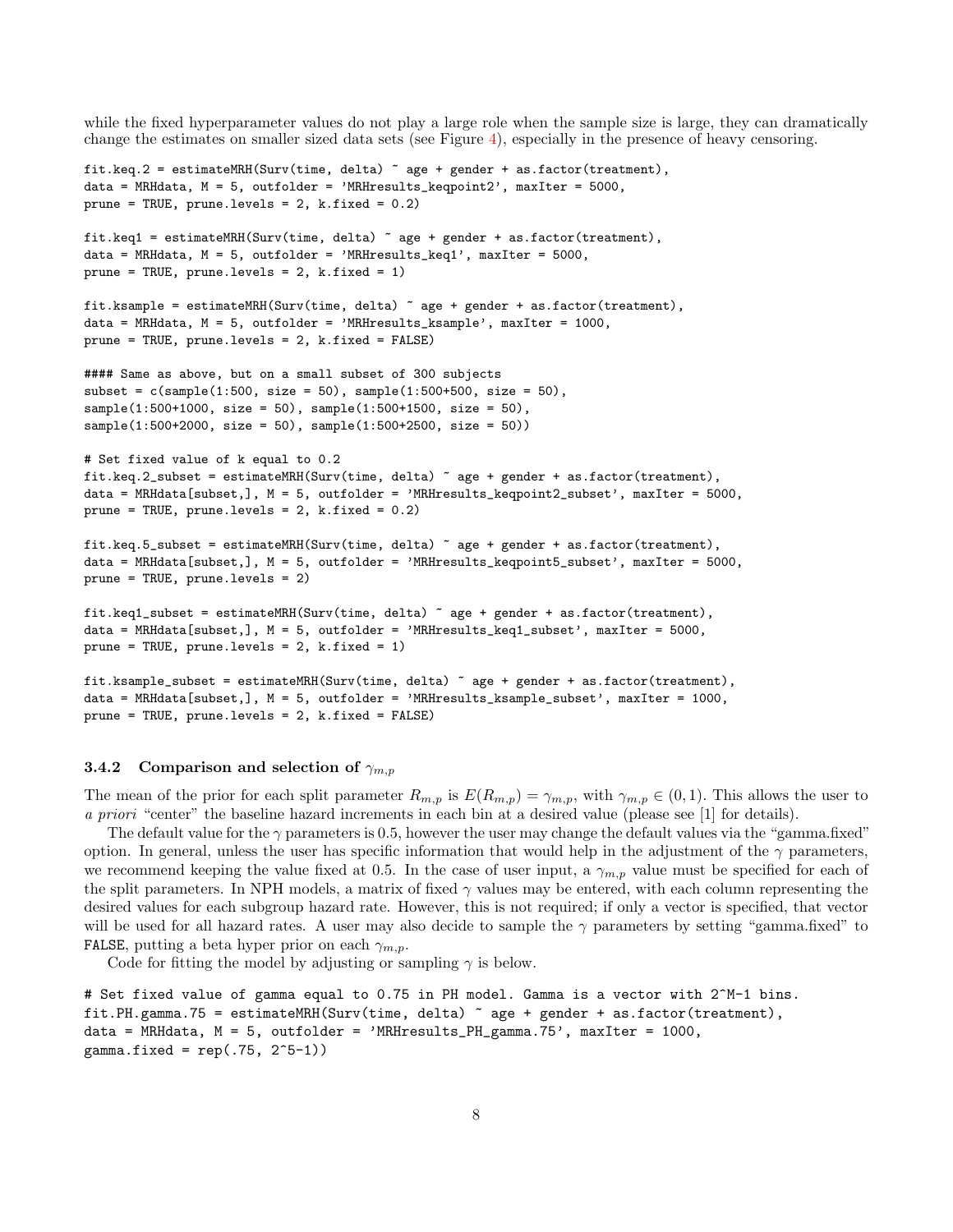while the fixed hyperparameter values do not play a large role when the sample size is large, they can dramatically change the estimates on smaller sized data sets (see Figure [4\)](#page-8-0), especially in the presence of heavy censoring.

```
fit.keq.2 = estimateMRH(Surv(time, delta) ~ age + gender + as.factor(treatment),
data = MRHdata, M = 5, outfolder = 'MRHresults_keqpoint2', maxIter = 5000,
prune = TRUE, prune.levels = 2, k.fixed = 0.2)
fit.keq1 = estimateMRH(Surv(time, delta) ~ age + gender + as.factor(treatment),
data = MRHdata, M = 5, outfolder = 'MRHresults_keq1', maxIter = 5000,
prune = TRUE, prune.levels = 2, k.fixed = 1)
fit.ksample = estimateMRH(Surv(time, delta) ~ age + gender + as.factor(treatment),
data = MRHdata, M = 5, outfolder = 'MRHresults_ksample', maxIter = 1000,
prune = TRUE, prune.levels = 2, k.fixed = FALSE)
#### Same as above, but on a small subset of 300 subjects
subset = c(sample(1:500, size = 50), sample(1:500+500, size = 50),sample(1:500+1000, size = 50), sample(1:500+1500, size = 50),
sample(1:500+2000, size = 50), sample(1:500+2500, size = 50)# Set fixed value of k equal to 0.2
fit.keq.2_subset = estimateMRH(Surv(time, delta) ~ age + gender + as.factor(treatment),
data = MRHdata[subset,], M = 5, outfolder = 'MRHresults_keqpoint2_subset', maxIter = 5000,
prune = TRUE, prune.levels = 2, k.fixed = 0.2)
fit.keq.5_subset = estimateMRH(Surv(time, delta) ~ age + gender + as.factor(treatment),
data = MRHdata[subset,], M = 5, outfolder = 'MRHresults_keqpoint5_subset', maxIter = 5000,
prune = TRUE, prune.levels = 2)
fit.keq1_subset = estimateMRH(Surv(time, delta) ~ age + gender + as.factor(treatment),
data = MRHdata[subset,], M = 5, outfolder = 'MRHresults_keq1_subset', maxIter = 5000,
prune = TRUE, prune.levels = 2, k.fixed = 1)
fit.ksample_subset = estimateMRH(Surv(time, delta) ~ age + gender + as.factor(treatment),
data = MRHdata[subset,], M = 5, outfolder = 'MRHresults_ksample_subset', maxIter = 1000,
```
## 3.4.2 Comparison and selection of  $\gamma_{m,p}$

prune = TRUE, prune.levels = 2, k.fixed = FALSE)

The mean of the prior for each split parameter  $R_{m,p}$  is  $E(R_{m,p}) = \gamma_{m,p}$ , with  $\gamma_{m,p} \in (0,1)$ . This allows the user to a priori "center" the baseline hazard increments in each bin at a desired value (please see [1] for details).

The default value for the  $\gamma$  parameters is 0.5, however the user may change the default values via the "gamma.fixed" option. In general, unless the user has specific information that would help in the adjustment of the  $\gamma$  parameters, we recommend keeping the value fixed at 0.5. In the case of user input, a  $\gamma_{m,p}$  value must be specified for each of the split parameters. In NPH models, a matrix of fixed  $\gamma$  values may be entered, with each column representing the desired values for each subgroup hazard rate. However, this is not required; if only a vector is specified, that vector will be used for all hazard rates. A user may also decide to sample the  $\gamma$  parameters by setting "gamma.fixed" to FALSE, putting a beta hyper prior on each  $\gamma_{m,p}$ .

Code for fitting the model by adjusting or sampling  $\gamma$  is below.

```
# Set fixed value of gamma equal to 0.75 in PH model. Gamma is a vector with 2^M-1 bins.
fit.PH.gamma.75 = estimateMRH(Surv(time, delta) ~ age + gender + as.factor(treatment),
data = MRHdata, M = 5, outfolder = 'MRHresults_PH_gamma.75', maxIter = 1000,
gamma.fixed = rep(.75, 2^5-1))
```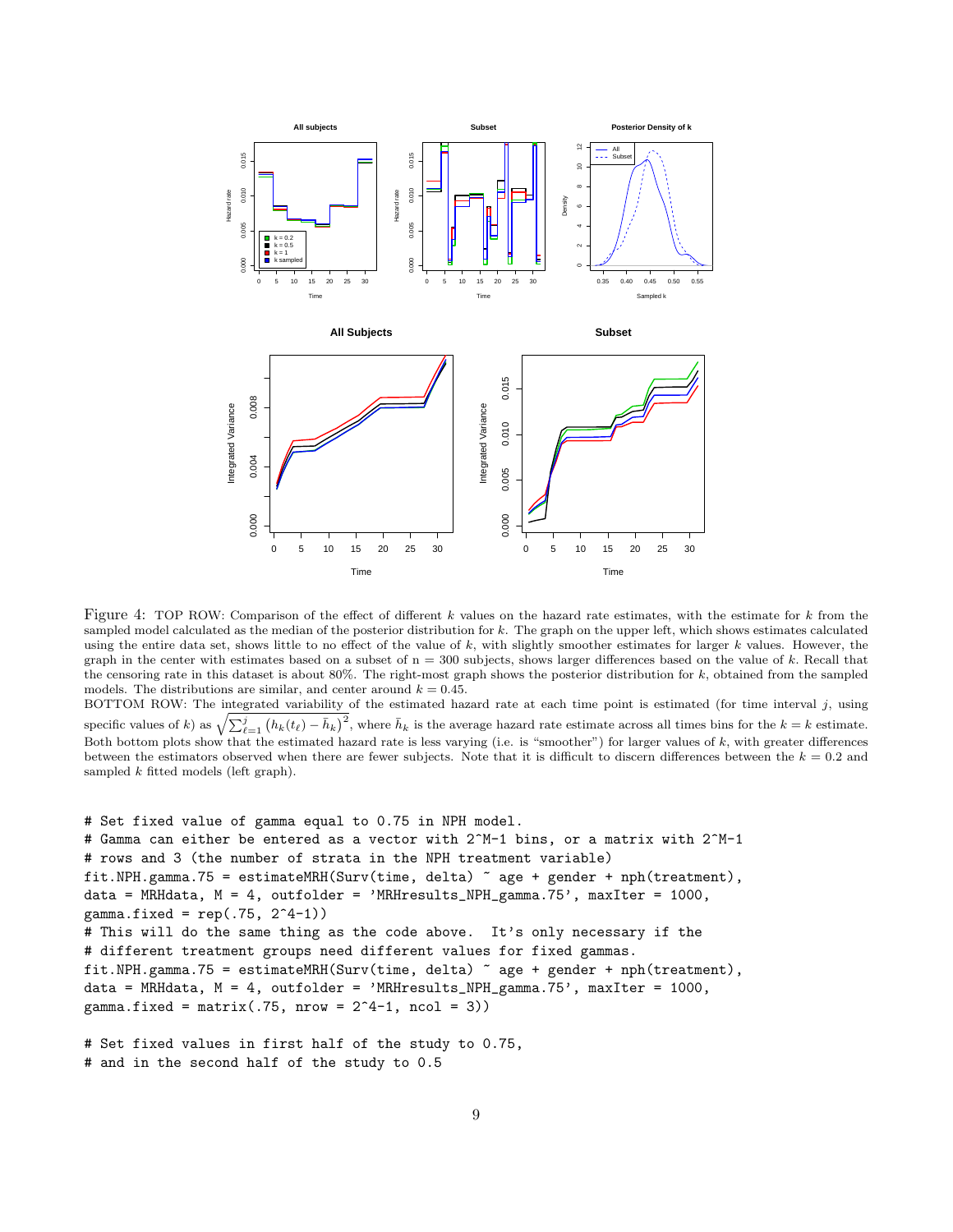

<span id="page-8-0"></span>Figure 4: TOP ROW: Comparison of the effect of different k values on the hazard rate estimates, with the estimate for k from the sampled model calculated as the median of the posterior distribution for k. The graph on the upper left, which shows estimates calculated using the entire data set, shows little to no effect of the value of k, with slightly smoother estimates for larger k values. However, the graph in the center with estimates based on a subset of  $n = 300$  subjects, shows larger differences based on the value of k. Recall that the censoring rate in this dataset is about 80%. The right-most graph shows the posterior distribution for  $k$ , obtained from the sampled models. The distributions are similar, and center around  $k = 0.45$ .

BOTTOM ROW: The integrated variability of the estimated hazard rate at each time point is estimated (for time interval  $j$ , using specific values of k) as  $\sqrt{\sum_{\ell=1}^{j} (h_k(t_\ell) - \bar{h}_k)^2}$ , where  $\bar{h}_k$  is the average hazard rate estimate across all times bins for the  $k = k$  estimate. Both bottom plots show that the estimated hazard rate is less varying (i.e. is "smoother") for larger values of k, with greater differences between the estimators observed when there are fewer subjects. Note that it is difficult to discern differences between the  $k = 0.2$  and sampled  $k$  fitted models (left graph).

```
# Set fixed value of gamma equal to 0.75 in NPH model.
# Gamma can either be entered as a vector with 2^M-1 bins, or a matrix with 2^M-1
# rows and 3 (the number of strata in the NPH treatment variable)
fit.NPH.gamma.75 = estimateMRH(Surv(time, delta) ~ age + gender + nph(treatment),
data = MRHdata, M = 4, outfolder = 'MRHresults_NPH_gamma.75', maxIter = 1000,
gamma.fixed = rep(.75, 2^4-1))# This will do the same thing as the code above. It's only necessary if the
# different treatment groups need different values for fixed gammas.
fit.NPH.gamma.75 = estimateMRH(Surv(time, delta) \tilde{ } age + gender + nph(treatment),
data = MRHdata, M = 4, outfolder = 'MRHresults_NPH_gamma.75', maxIter = 1000,
gamma.fixed = matrix(.75, nrow = 2^4-1, ncol = 3))
```
# Set fixed values in first half of the study to 0.75, # and in the second half of the study to 0.5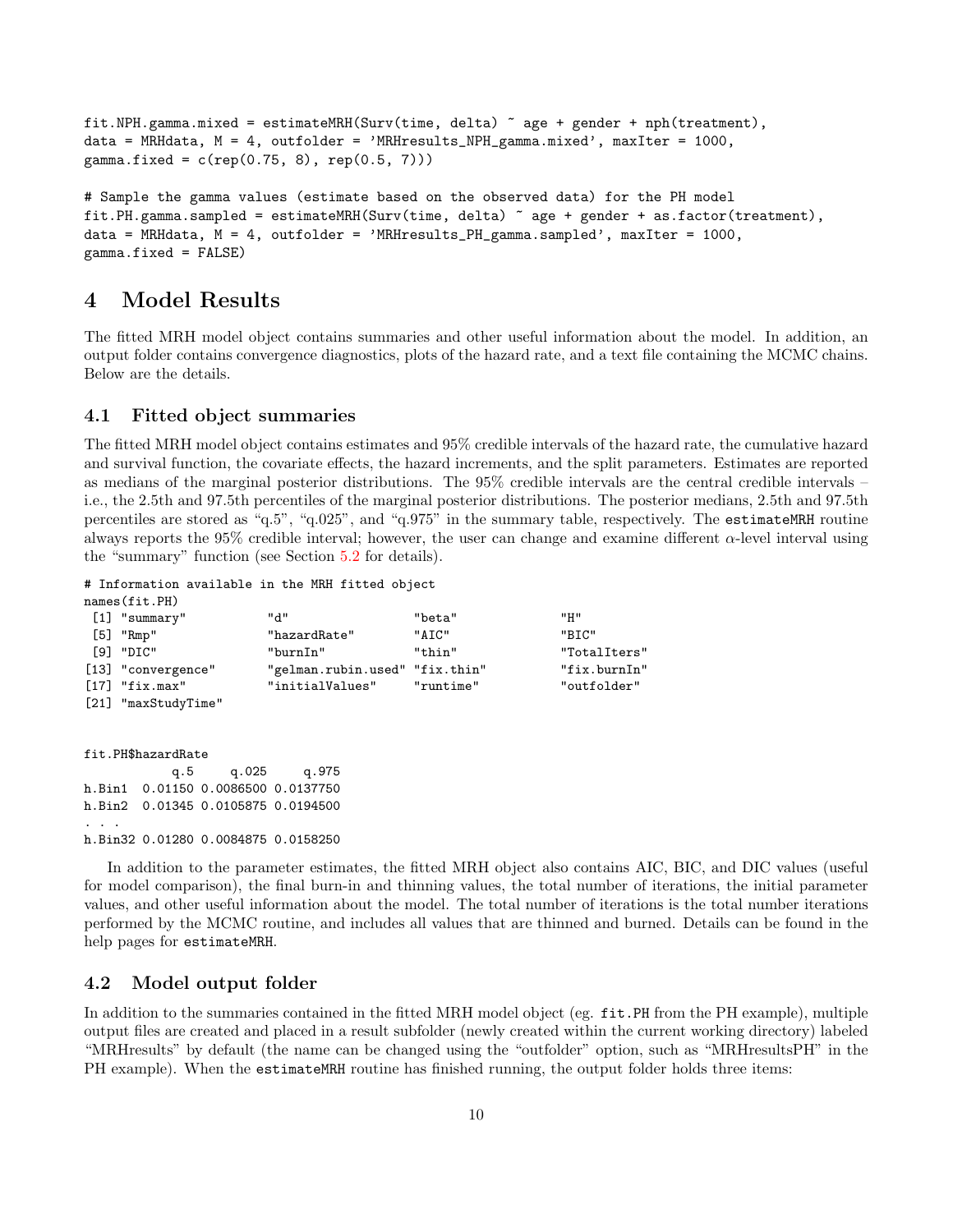```
fit.NPH.gamma.mixed = estimateMRH(Surv(time, delta) ~ age + gender + nph(treatment),
data = MRHdata, M = 4, outfolder = 'MRHresults_NPH_gamma.mixed', maxIter = 1000,
gamma.fixed = c(rep(0.75, 8), rep(0.5, 7)))
```
# Sample the gamma values (estimate based on the observed data) for the PH model fit.PH.gamma.sampled = estimateMRH(Surv(time, delta) ~ age + gender + as.factor(treatment), data = MRHdata,  $M = 4$ , outfolder = 'MRHresults\_PH\_gamma.sampled', maxIter = 1000, gamma.fixed = FALSE)

## 4 Model Results

The fitted MRH model object contains summaries and other useful information about the model. In addition, an output folder contains convergence diagnostics, plots of the hazard rate, and a text file containing the MCMC chains. Below are the details.

#### 4.1 Fitted object summaries

The fitted MRH model object contains estimates and 95% credible intervals of the hazard rate, the cumulative hazard and survival function, the covariate effects, the hazard increments, and the split parameters. Estimates are reported as medians of the marginal posterior distributions. The 95% credible intervals are the central credible intervals – i.e., the 2.5th and 97.5th percentiles of the marginal posterior distributions. The posterior medians, 2.5th and 97.5th percentiles are stored as "q.5", "q.025", and "q.975" in the summary table, respectively. The estimateMRH routine always reports the 95% credible interval; however, the user can change and examine different  $\alpha$ -level interval using the "summary" function (see Section [5.2](#page-14-0) for details).

# Information available in the MRH fitted object names(fit.PH)

| $m$ and $n$ . If $n$ |                                |           |              |
|----------------------|--------------------------------|-----------|--------------|
| $[1]$ "summary"      | "d"                            | "beta"    | "H"          |
| $[5]$ "Rmp"          | "hazardRate"                   | "ATC"     | "BIC"        |
| "DIC" [9]            | "burnIn"                       | "thin"    | "TotalIters" |
| [13] "convergence"   | "gelman.rubin.used" "fix.thin" |           | "fix.burnIn" |
| $[17]$ "fix.max"     | "initialValues"                | "runtime" | "outfolder"  |
| [21] "maxStudyTime"  |                                |           |              |
|                      |                                |           |              |

fit.PH\$hazardRate

q.5 q.025 q.975 h.Bin1 0.01150 0.0086500 0.0137750 h.Bin2 0.01345 0.0105875 0.0194500 . . . h.Bin32 0.01280 0.0084875 0.0158250

In addition to the parameter estimates, the fitted MRH object also contains AIC, BIC, and DIC values (useful for model comparison), the final burn-in and thinning values, the total number of iterations, the initial parameter values, and other useful information about the model. The total number of iterations is the total number iterations performed by the MCMC routine, and includes all values that are thinned and burned. Details can be found in the help pages for estimateMRH.

## 4.2 Model output folder

In addition to the summaries contained in the fitted MRH model object (eg. fit.PH from the PH example), multiple output files are created and placed in a result subfolder (newly created within the current working directory) labeled "MRHresults" by default (the name can be changed using the "outfolder" option, such as "MRHresultsPH" in the PH example). When the estimateMRH routine has finished running, the output folder holds three items: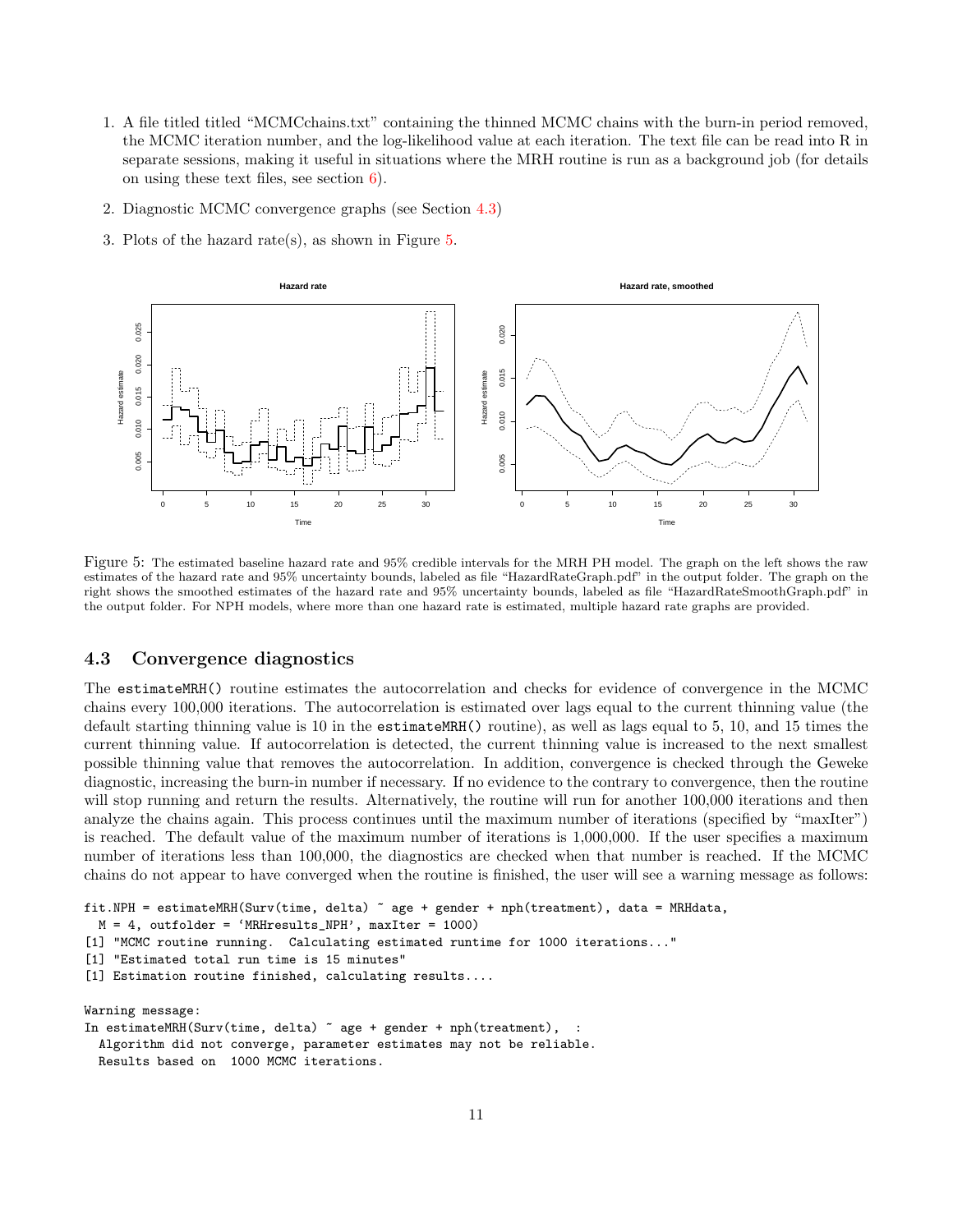- 1. A file titled titled "MCMCchains.txt" containing the thinned MCMC chains with the burn-in period removed, the MCMC iteration number, and the log-likelihood value at each iteration. The text file can be read into R in separate sessions, making it useful in situations where the MRH routine is run as a background job (for details on using these text files, see section [6\)](#page-16-0).
- 2. Diagnostic MCMC convergence graphs (see Section [4.3\)](#page-10-0)
- 3. Plots of the hazard rate(s), as shown in Figure [5.](#page-10-1)



<span id="page-10-1"></span>Figure 5: The estimated baseline hazard rate and 95% credible intervals for the MRH PH model. The graph on the left shows the raw estimates of the hazard rate and 95% uncertainty bounds, labeled as file "HazardRateGraph.pdf" in the output folder. The graph on the right shows the smoothed estimates of the hazard rate and 95% uncertainty bounds, labeled as file "HazardRateSmoothGraph.pdf" in the output folder. For NPH models, where more than one hazard rate is estimated, multiple hazard rate graphs are provided.

## <span id="page-10-0"></span>4.3 Convergence diagnostics

The estimateMRH() routine estimates the autocorrelation and checks for evidence of convergence in the MCMC chains every 100,000 iterations. The autocorrelation is estimated over lags equal to the current thinning value (the default starting thinning value is 10 in the estimateMRH() routine), as well as lags equal to 5, 10, and 15 times the current thinning value. If autocorrelation is detected, the current thinning value is increased to the next smallest possible thinning value that removes the autocorrelation. In addition, convergence is checked through the Geweke diagnostic, increasing the burn-in number if necessary. If no evidence to the contrary to convergence, then the routine will stop running and return the results. Alternatively, the routine will run for another 100,000 iterations and then analyze the chains again. This process continues until the maximum number of iterations (specified by "maxIter") is reached. The default value of the maximum number of iterations is 1,000,000. If the user specifies a maximum number of iterations less than 100,000, the diagnostics are checked when that number is reached. If the MCMC chains do not appear to have converged when the routine is finished, the user will see a warning message as follows:

```
fit.NPH = estimateMRH(Surv(time, delta) ~ age + gender + nph(treatment), data = MRHdata,
 M = 4, outfolder = 'MRHresults_NPH', maxIter = 1000)
[1] "MCMC routine running. Calculating estimated runtime for 1000 iterations..."
[1] "Estimated total run time is 15 minutes"
[1] Estimation routine finished, calculating results....
Warning message:
In estimateMRH(Surv(time, delta) ~ age + gender + nph(treatment), :
  Algorithm did not converge, parameter estimates may not be reliable.
```

```
Results based on 1000 MCMC iterations.
```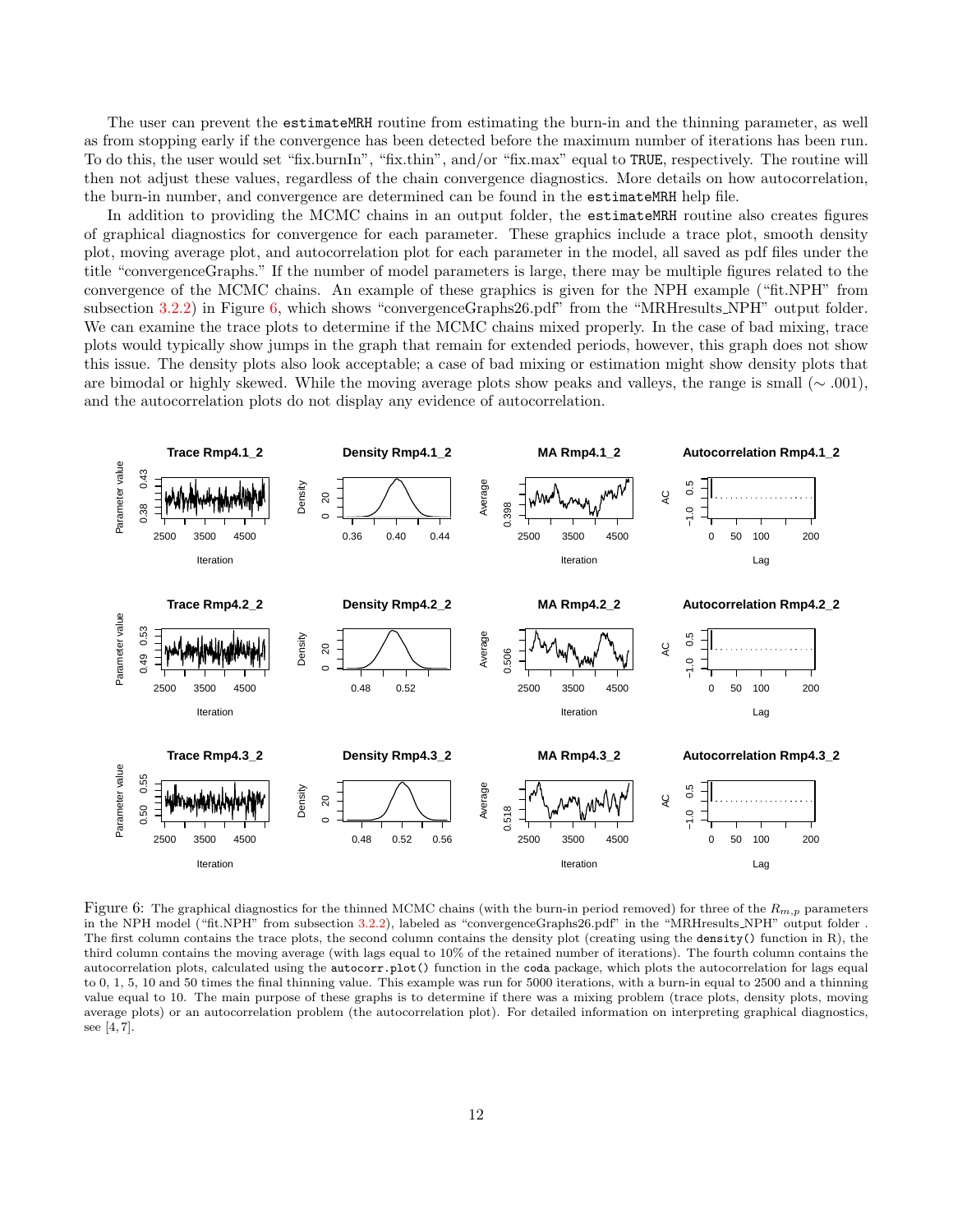The user can prevent the **estimateMRH** routine from estimating the burn-in and the thinning parameter, as well as from stopping early if the convergence has been detected before the maximum number of iterations has been run. To do this, the user would set "fix.burnIn", "fix.thin", and/or "fix.max" equal to TRUE, respectively. The routine will then not adjust these values, regardless of the chain convergence diagnostics. More details on how autocorrelation, the burn-in number, and convergence are determined can be found in the estimateMRH help file.

In addition to providing the MCMC chains in an output folder, the estimateMRH routine also creates figures of graphical diagnostics for convergence for each parameter. These graphics include a trace plot, smooth density plot, moving average plot, and autocorrelation plot for each parameter in the model, all saved as pdf files under the title "convergenceGraphs." If the number of model parameters is large, there may be multiple figures related to the convergence of the MCMC chains. An example of these graphics is given for the NPH example ("fit.NPH" from subsection [3.2.2\)](#page-4-0) in Figure [6,](#page-11-0) which shows "convergenceGraphs26.pdf" from the "MRHresults NPH" output folder. We can examine the trace plots to determine if the MCMC chains mixed properly. In the case of bad mixing, trace plots would typically show jumps in the graph that remain for extended periods, however, this graph does not show this issue. The density plots also look acceptable; a case of bad mixing or estimation might show density plots that are bimodal or highly skewed. While the moving average plots show peaks and valleys, the range is small (∼ .001), and the autocorrelation plots do not display any evidence of autocorrelation.



<span id="page-11-0"></span>Figure 6: The graphical diagnostics for the thinned MCMC chains (with the burn-in period removed) for three of the  $R_{m,p}$  parameters in the NPH model ("fit.NPH" from subsection [3.2.2\)](#page-4-0), labeled as "convergenceGraphs26.pdf" in the "MRHresults NPH" output folder . The first column contains the trace plots, the second column contains the density plot (creating using the density() function in R), the third column contains the moving average (with lags equal to 10% of the retained number of iterations). The fourth column contains the autocorrelation plots, calculated using the autocorr.plot() function in the coda package, which plots the autocorrelation for lags equal to 0, 1, 5, 10 and 50 times the final thinning value. This example was run for 5000 iterations, with a burn-in equal to 2500 and a thinning value equal to 10. The main purpose of these graphs is to determine if there was a mixing problem (trace plots, density plots, moving average plots) or an autocorrelation problem (the autocorrelation plot). For detailed information on interpreting graphical diagnostics, see [4, 7].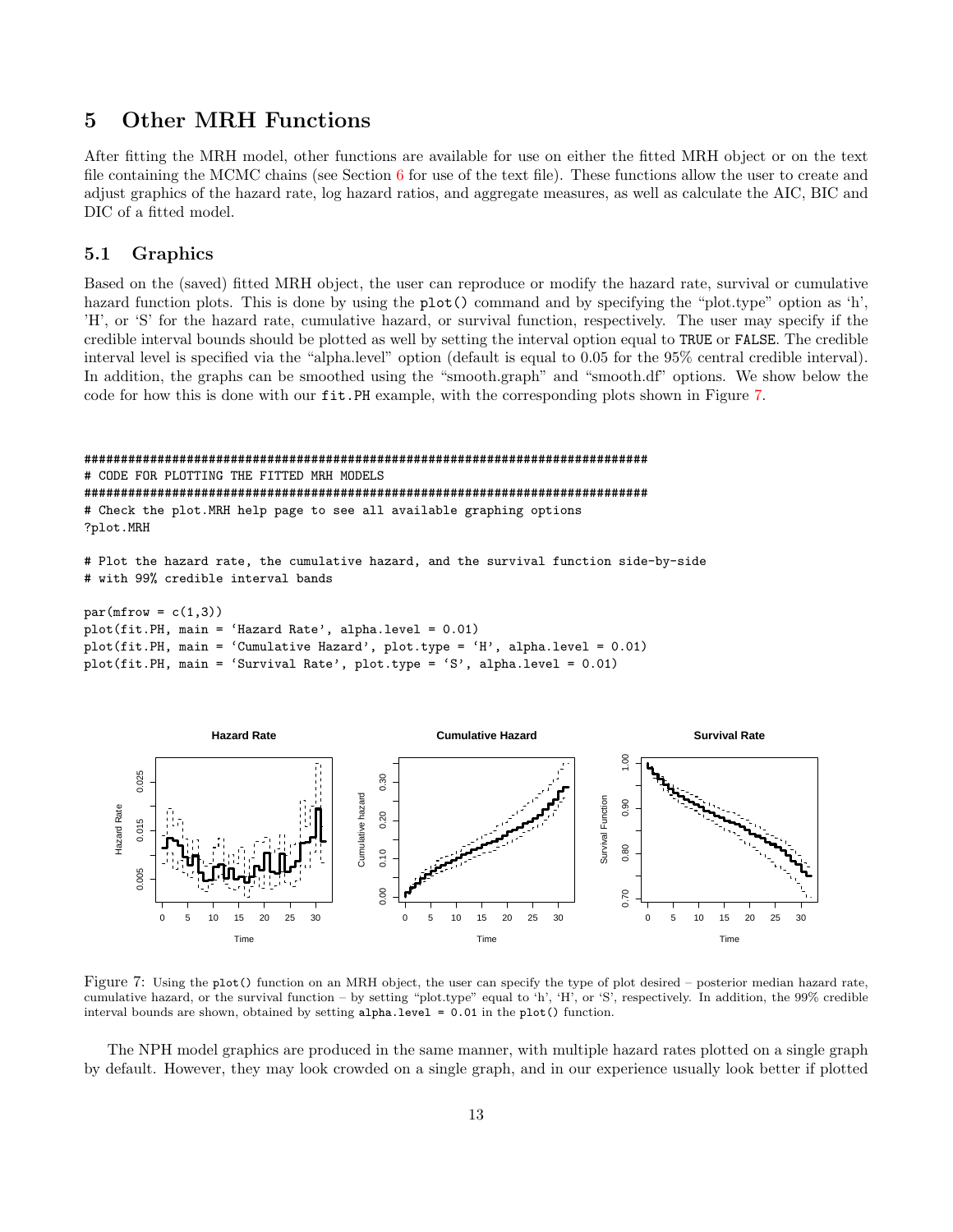# 5 Other MRH Functions

After fitting the MRH model, other functions are available for use on either the fitted MRH object or on the text file containing the MCMC chains (see Section [6](#page-16-0) for use of the text file). These functions allow the user to create and adjust graphics of the hazard rate, log hazard ratios, and aggregate measures, as well as calculate the AIC, BIC and DIC of a fitted model.

## 5.1 Graphics

Based on the (saved) fitted MRH object, the user can reproduce or modify the hazard rate, survival or cumulative hazard function plots. This is done by using the plot() command and by specifying the "plot.type" option as 'h', 'H', or 'S' for the hazard rate, cumulative hazard, or survival function, respectively. The user may specify if the credible interval bounds should be plotted as well by setting the interval option equal to TRUE or FALSE. The credible interval level is specified via the "alpha.level" option (default is equal to 0.05 for the 95% central credible interval). In addition, the graphs can be smoothed using the "smooth.graph" and "smooth.df" options. We show below the code for how this is done with our fit.PH example, with the corresponding plots shown in Figure [7.](#page-12-0)

```
#############################################################################
# CODE FOR PLOTTING THE FITTED MRH MODELS
#############################################################################
# Check the plot.MRH help page to see all available graphing options
?plot.MRH
```
# Plot the hazard rate, the cumulative hazard, and the survival function side-by-side # with 99% credible interval bands

```
par(mfrow = c(1,3))plot(fit.PH, main = 'Hazard Rate', alpha.level = 0.01)
plot(fit.PH, main = 'Cumulative Hazard', plot.type = 'H', alpha.level = 0.01)
plot(fit.PH, main = 'Survival Rate', plot.type = 'S', alpha.level = 0.01)
```


<span id="page-12-0"></span>Figure 7: Using the plot() function on an MRH object, the user can specify the type of plot desired – posterior median hazard rate, cumulative hazard, or the survival function – by setting "plot.type" equal to 'h', 'H', or 'S', respectively. In addition, the 99% credible interval bounds are shown, obtained by setting alpha.level = 0.01 in the plot() function.

The NPH model graphics are produced in the same manner, with multiple hazard rates plotted on a single graph by default. However, they may look crowded on a single graph, and in our experience usually look better if plotted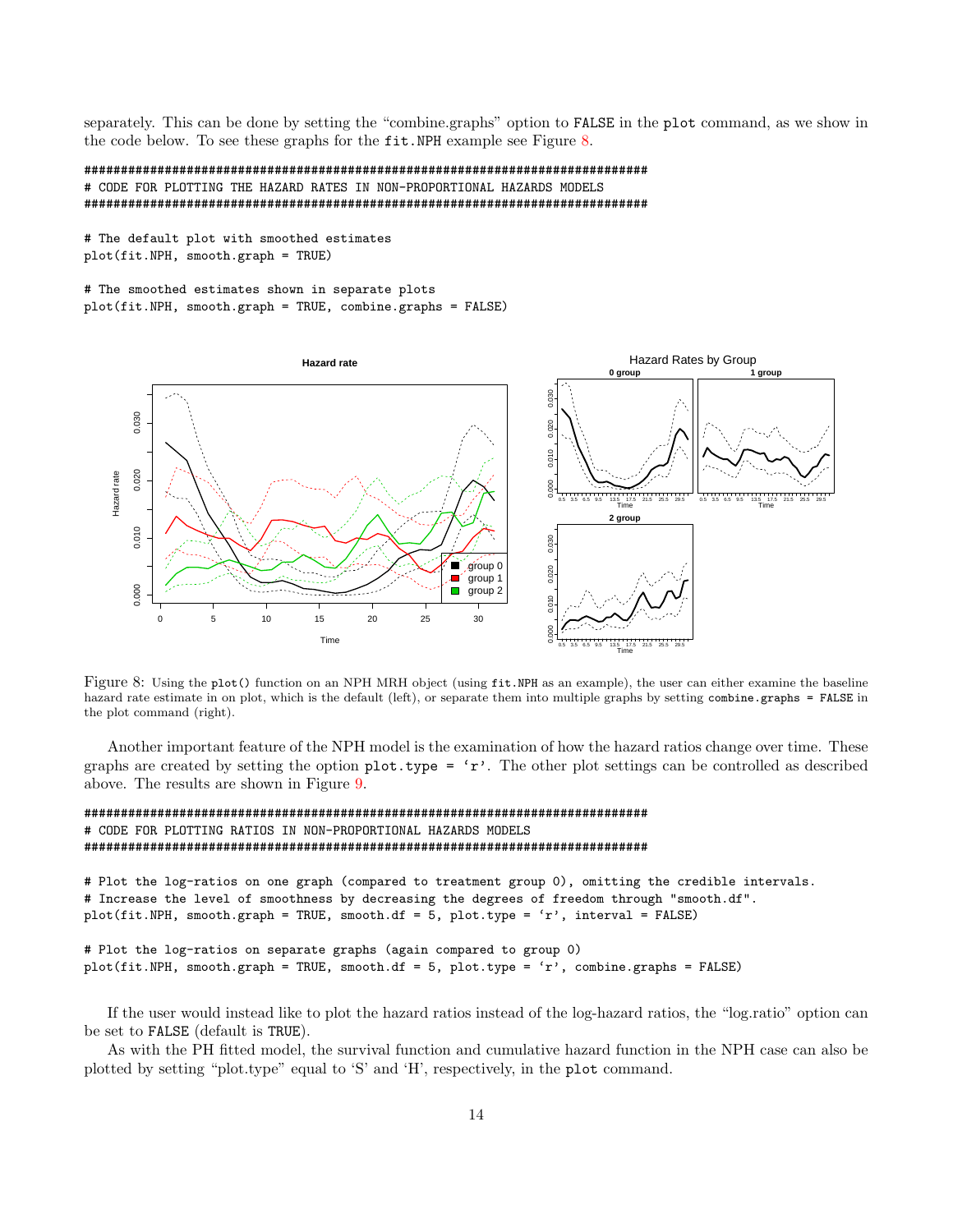separately. This can be done by setting the "combine.graphs" option to FALSE in the plot command, as we show in the code below. To see these graphs for the fit.NPH example see Figure [8.](#page-13-0)

############################################################################# # CODE FOR PLOTTING THE HAZARD RATES IN NON-PROPORTIONAL HAZARDS MODELS #############################################################################

# The default plot with smoothed estimates plot(fit.NPH, smooth.graph = TRUE)

# The smoothed estimates shown in separate plots plot(fit.NPH, smooth.graph = TRUE, combine.graphs = FALSE)



<span id="page-13-0"></span>Figure 8: Using the plot() function on an NPH MRH object (using fit.NPH as an example), the user can either examine the baseline hazard rate estimate in on plot, which is the default (left), or separate them into multiple graphs by setting combine.graphs = FALSE in the plot command (right).

Another important feature of the NPH model is the examination of how the hazard ratios change over time. These graphs are created by setting the option  $plot.\text{type} = \{r\}$ . The other plot settings can be controlled as described above. The results are shown in Figure [9.](#page-14-1)

```
#############################################################################
# CODE FOR PLOTTING RATIOS IN NON-PROPORTIONAL HAZARDS MODELS
#############################################################################
```
# Plot the log-ratios on one graph (compared to treatment group 0), omitting the credible intervals. # Increase the level of smoothness by decreasing the degrees of freedom through "smooth.df". plot(fit.NPH, smooth.graph = TRUE, smooth.df = 5, plot.type = 'r', interval = FALSE)

```
# Plot the log-ratios on separate graphs (again compared to group 0)
plot(fit.NPH, smooth.graph = TRUE, smooth.df = 5, plot.type = 'r', combine.graphs = FALSE)
```
If the user would instead like to plot the hazard ratios instead of the log-hazard ratios, the "log.ratio" option can be set to FALSE (default is TRUE).

As with the PH fitted model, the survival function and cumulative hazard function in the NPH case can also be plotted by setting "plot.type" equal to 'S' and 'H', respectively, in the plot command.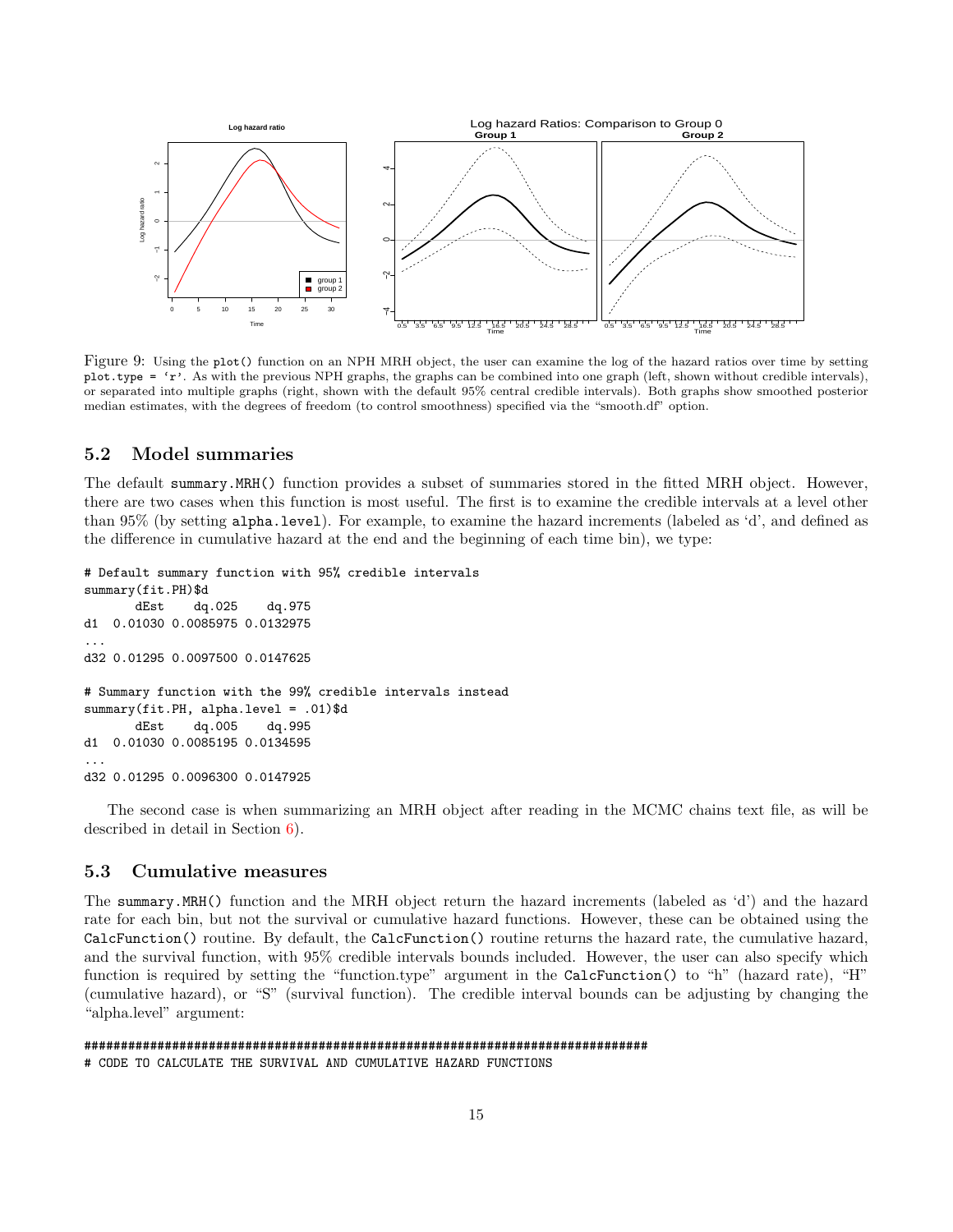

<span id="page-14-1"></span>Figure 9: Using the plot() function on an NPH MRH object, the user can examine the log of the hazard ratios over time by setting plot.type = 'r'. As with the previous NPH graphs, the graphs can be combined into one graph (left, shown without credible intervals), or separated into multiple graphs (right, shown with the default 95% central credible intervals). Both graphs show smoothed posterior median estimates, with the degrees of freedom (to control smoothness) specified via the "smooth.df" option.

#### <span id="page-14-0"></span>5.2 Model summaries

The default summary.MRH() function provides a subset of summaries stored in the fitted MRH object. However, there are two cases when this function is most useful. The first is to examine the credible intervals at a level other than 95% (by setting alpha.level). For example, to examine the hazard increments (labeled as 'd', and defined as the difference in cumulative hazard at the end and the beginning of each time bin), we type:

```
# Default summary function with 95% credible intervals
summary(fit.PH)$d
      dEst dq.025 dq.975
d1 0.01030 0.0085975 0.0132975
...
d32 0.01295 0.0097500 0.0147625
# Summary function with the 99% credible intervals instead
summary(fit.PH, alpha.level = .01)$d
      dEst dq.005 dq.995
d1 0.01030 0.0085195 0.0134595
...
d32 0.01295 0.0096300 0.0147925
```
The second case is when summarizing an MRH object after reading in the MCMC chains text file, as will be described in detail in Section [6\)](#page-16-0).

## 5.3 Cumulative measures

The summary.MRH() function and the MRH object return the hazard increments (labeled as 'd') and the hazard rate for each bin, but not the survival or cumulative hazard functions. However, these can be obtained using the CalcFunction() routine. By default, the CalcFunction() routine returns the hazard rate, the cumulative hazard, and the survival function, with 95% credible intervals bounds included. However, the user can also specify which function is required by setting the "function.type" argument in the CalcFunction() to "h" (hazard rate), "H" (cumulative hazard), or "S" (survival function). The credible interval bounds can be adjusting by changing the "alpha.level" argument:

#############################################################################

# CODE TO CALCULATE THE SURVIVAL AND CUMULATIVE HAZARD FUNCTIONS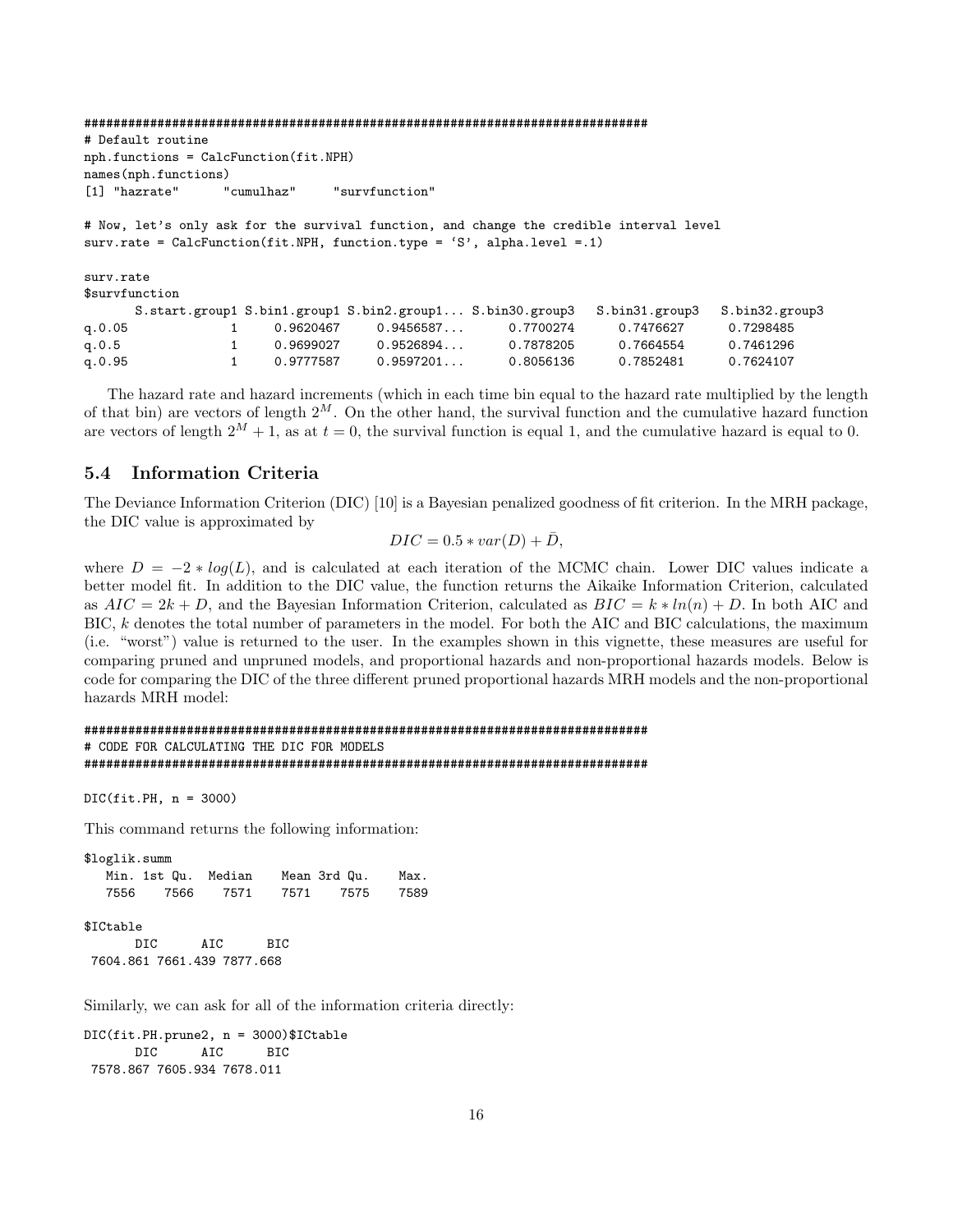| # Default routine                                                                                                                                                     |              |                           |                                                           |                       |                |                |  |  |  |
|-----------------------------------------------------------------------------------------------------------------------------------------------------------------------|--------------|---------------------------|-----------------------------------------------------------|-----------------------|----------------|----------------|--|--|--|
| $nph.functions = CalcFunction(fit.NPH)$                                                                                                                               |              |                           |                                                           |                       |                |                |  |  |  |
| names (nph.functions)                                                                                                                                                 |              |                           |                                                           |                       |                |                |  |  |  |
| [1] "hazrate"                                                                                                                                                         |              | "cumulhaz" "survfunction" |                                                           |                       |                |                |  |  |  |
| # Now, let's only ask for the survival function, and change the credible interval level<br>surv.rate = CalcFunction(fit.NPH, function.type = $'S'$ , alpha.level =.1) |              |                           |                                                           |                       |                |                |  |  |  |
| surv.rate                                                                                                                                                             |              |                           |                                                           |                       |                |                |  |  |  |
| \$survfunction                                                                                                                                                        |              |                           |                                                           |                       |                |                |  |  |  |
|                                                                                                                                                                       |              |                           | S.start.group1 S.bin1.group1 S.bin2.group1 S.bin30.group3 |                       | S.bin31.group3 | S.bin32.group3 |  |  |  |
| q.0.05                                                                                                                                                                |              | 0.9620467                 |                                                           | $0.9456587$ 0.7700274 | 0.7476627      | 0.7298485      |  |  |  |
| q.0.5                                                                                                                                                                 | $\mathbf{1}$ |                           | $0.9699027$ 0.9526894 0.7878205                           |                       | 0.7664554      | 0.7461296      |  |  |  |
| q.0.95                                                                                                                                                                | $\mathbf{1}$ | 0.9777587                 |                                                           | $0.9597201$ 0.8056136 | 0.7852481      | 0.7624107      |  |  |  |

The hazard rate and hazard increments (which in each time bin equal to the hazard rate multiplied by the length of that bin) are vectors of length  $2^M$ . On the other hand, the survival function and the cumulative hazard function are vectors of length  $2^M + 1$ , as at  $t = 0$ , the survival function is equal 1, and the cumulative hazard is equal to 0.

## 5.4 Information Criteria

The Deviance Information Criterion (DIC) [10] is a Bayesian penalized goodness of fit criterion. In the MRH package, the DIC value is approximated by

$$
DIC = 0.5 * var(D) + \bar{D},
$$

where  $D = -2 * log(L)$ , and is calculated at each iteration of the MCMC chain. Lower DIC values indicate a better model fit. In addition to the DIC value, the function returns the Aikaike Information Criterion, calculated as  $AIC = 2k + D$ , and the Bayesian Information Criterion, calculated as  $BIC = k * ln(n) + D$ . In both AIC and BIC, k denotes the total number of parameters in the model. For both the AIC and BIC calculations, the maximum (i.e. "worst") value is returned to the user. In the examples shown in this vignette, these measures are useful for comparing pruned and unpruned models, and proportional hazards and non-proportional hazards models. Below is code for comparing the DIC of the three different pruned proportional hazards MRH models and the non-proportional hazards MRH model:

#### ############################################################################# # CODE FOR CALCULATING THE DIC FOR MODELS #############################################################################

 $DIC(fit.PH, n = 3000)$ 

This command returns the following information:

\$loglik.summ Min. 1st Qu. Median Mean 3rd Qu. Max. 7556 7566 7571 7571 7575 7589 \$ICtable DIC AIC BIC 7604.861 7661.439 7877.668

Similarly, we can ask for all of the information criteria directly:

```
DIC(fit.PH.prune2, n = 3000)$ICtable
      DIC AIC BIC
7578.867 7605.934 7678.011
```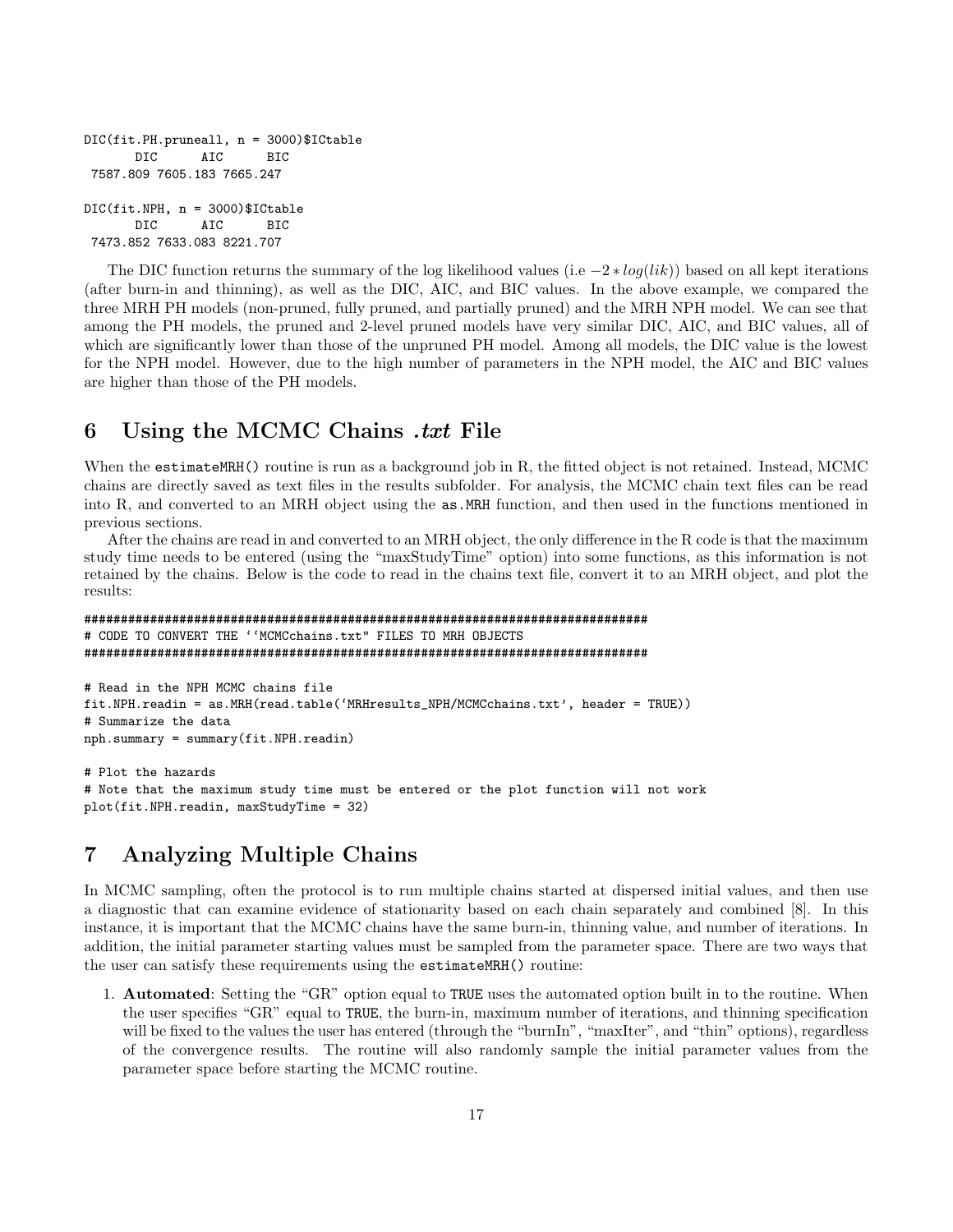```
DIC(fit.PH.pruneall, n = 3000)$ICtable
      DIC AIC BIC
7587.809 7605.183 7665.247
DIC(fit.NPH, n = 3000) $ICtableDIC AIC BIC
7473.852 7633.083 8221.707
```
The DIC function returns the summary of the log likelihood values (i.e  $-2 * log(lik)$ ) based on all kept iterations (after burn-in and thinning), as well as the DIC, AIC, and BIC values. In the above example, we compared the three MRH PH models (non-pruned, fully pruned, and partially pruned) and the MRH NPH model. We can see that among the PH models, the pruned and 2-level pruned models have very similar DIC, AIC, and BIC values, all of which are significantly lower than those of the unpruned PH model. Among all models, the DIC value is the lowest for the NPH model. However, due to the high number of parameters in the NPH model, the AIC and BIC values are higher than those of the PH models.

## <span id="page-16-0"></span>6 Using the MCMC Chains *txt* File

When the estimateMRH() routine is run as a background job in R, the fitted object is not retained. Instead, MCMC chains are directly saved as text files in the results subfolder. For analysis, the MCMC chain text files can be read into R, and converted to an MRH object using the as.MRH function, and then used in the functions mentioned in previous sections.

After the chains are read in and converted to an MRH object, the only difference in the R code is that the maximum study time needs to be entered (using the "maxStudyTime" option) into some functions, as this information is not retained by the chains. Below is the code to read in the chains text file, convert it to an MRH object, and plot the results:

```
#############################################################################
# CODE TO CONVERT THE ''MCMCchains.txt" FILES TO MRH OBJECTS
#############################################################################
# Read in the NPH MCMC chains file
fit.NPH.readin = as.MRH(read.table('MRHresults_NPH/MCMCchains.txt', header = TRUE))
# Summarize the data
nph.summary = summary(fit.NPH.readin)
# Plot the hazards
```
# Note that the maximum study time must be entered or the plot function will not work plot(fit.NPH.readin, maxStudyTime = 32)

# 7 Analyzing Multiple Chains

In MCMC sampling, often the protocol is to run multiple chains started at dispersed initial values, and then use a diagnostic that can examine evidence of stationarity based on each chain separately and combined [8]. In this instance, it is important that the MCMC chains have the same burn-in, thinning value, and number of iterations. In addition, the initial parameter starting values must be sampled from the parameter space. There are two ways that the user can satisfy these requirements using the estimateMRH() routine:

1. Automated: Setting the "GR" option equal to TRUE uses the automated option built in to the routine. When the user specifies "GR" equal to TRUE, the burn-in, maximum number of iterations, and thinning specification will be fixed to the values the user has entered (through the "burnIn", "maxIter", and "thin" options), regardless of the convergence results. The routine will also randomly sample the initial parameter values from the parameter space before starting the MCMC routine.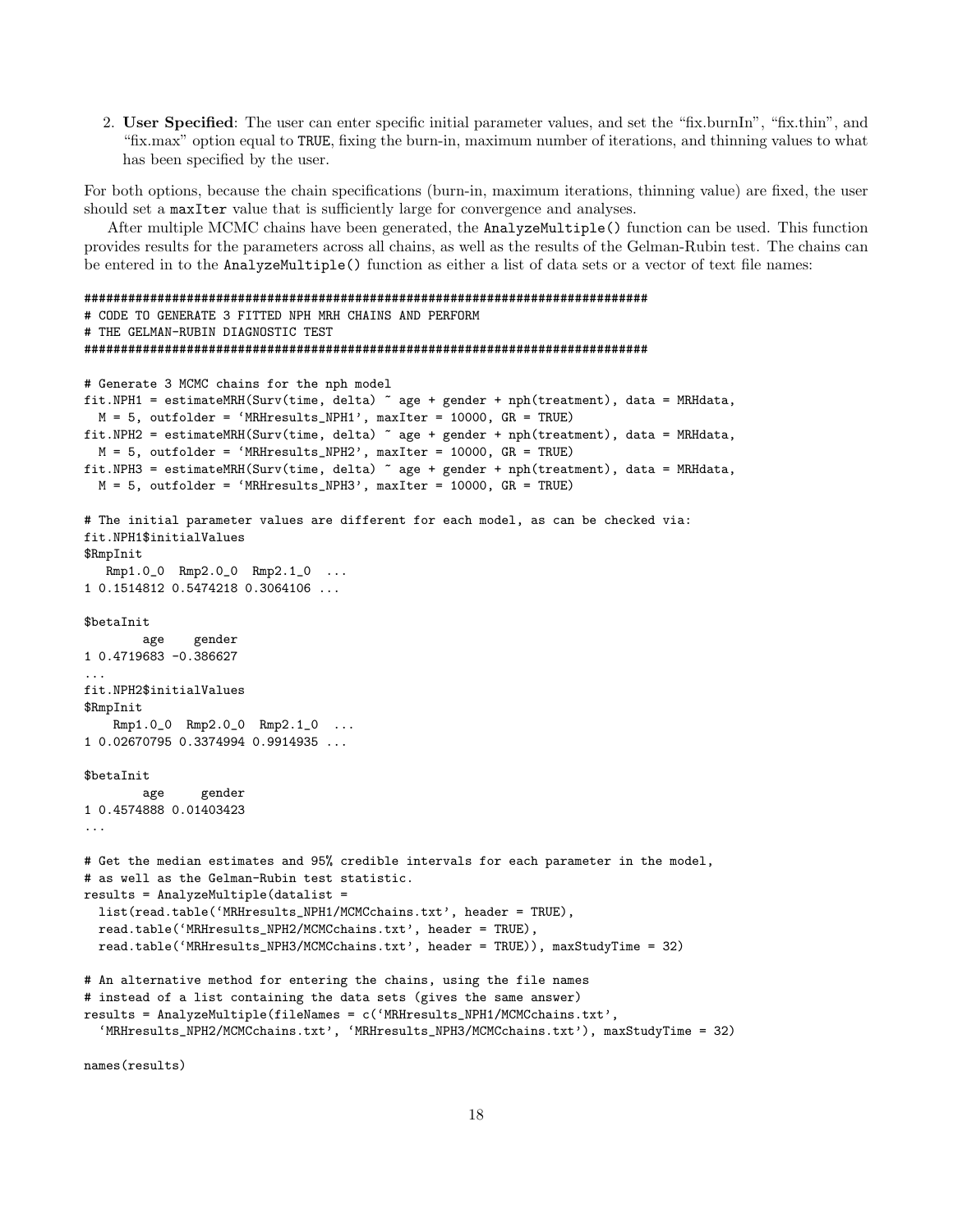2. User Specified: The user can enter specific initial parameter values, and set the "fix.burnIn", "fix.thin", and "fix.max" option equal to TRUE, fixing the burn-in, maximum number of iterations, and thinning values to what has been specified by the user.

For both options, because the chain specifications (burn-in, maximum iterations, thinning value) are fixed, the user should set a maxIter value that is sufficiently large for convergence and analyses.

After multiple MCMC chains have been generated, the AnalyzeMultiple() function can be used. This function provides results for the parameters across all chains, as well as the results of the Gelman-Rubin test. The chains can be entered in to the AnalyzeMultiple() function as either a list of data sets or a vector of text file names:

#### #############################################################################

```
# CODE TO GENERATE 3 FITTED NPH MRH CHAINS AND PERFORM
# THE GELMAN-RUBIN DIAGNOSTIC TEST
#############################################################################
# Generate 3 MCMC chains for the nph model
fit.NPH1 = estimateMRH(Surv(time, delta) ~ age + gender + nph(treatment), data = MRHdata,
  M = 5, outfolder = 'MRHresults_NPH1', maxIter = 10000, GR = TRUE)
fit.NPH2 = estimateMRH(Surv(time, delta) ~ age + gender + nph(treatment), data = MRHdata,
 M = 5, outfolder = 'MRHresults_NPH2', maxIter = 10000, GR = TRUE)
fit.NPH3 = estimateMRH(Surv(time, delta) ~ age + gender + nph(treatment), data = MRHdata,
 M = 5, outfolder = 'MRHresults_NPH3', maxIter = 10000, GR = TRUE)
# The initial parameter values are different for each model, as can be checked via:
fit.NPH1$initialValues
$RmpInit
  Rmp1.0_0 Rmp2.0_0 Rmp2.1_0 ...
1 0.1514812 0.5474218 0.3064106 ...
$betaInit
       age gender
1 0.4719683 -0.386627
...
fit.NPH2$initialValues
$RmpInit
    Rmp1.0_0 Rmp2.0_0 Rmp2.1_0 ...
1 0.02670795 0.3374994 0.9914935 ...
$betaInit
       age gender
1 0.4574888 0.01403423
...
# Get the median estimates and 95% credible intervals for each parameter in the model,
# as well as the Gelman-Rubin test statistic.
results = AnalyzeMultiple(datalist =
 list(read.table('MRHresults_NPH1/MCMCchains.txt', header = TRUE),
 read.table('MRHresults_NPH2/MCMCchains.txt', header = TRUE),
 read.table('MRHresults_NPH3/MCMCchains.txt', header = TRUE)), maxStudyTime = 32)
# An alternative method for entering the chains, using the file names
# instead of a list containing the data sets (gives the same answer)
results = AnalyzeMultiple(fileNames = c('MRHresults_NPH1/MCMCchains.txt',
  'MRHresults_NPH2/MCMCchains.txt', 'MRHresults_NPH3/MCMCchains.txt'), maxStudyTime = 32)
```
names(results)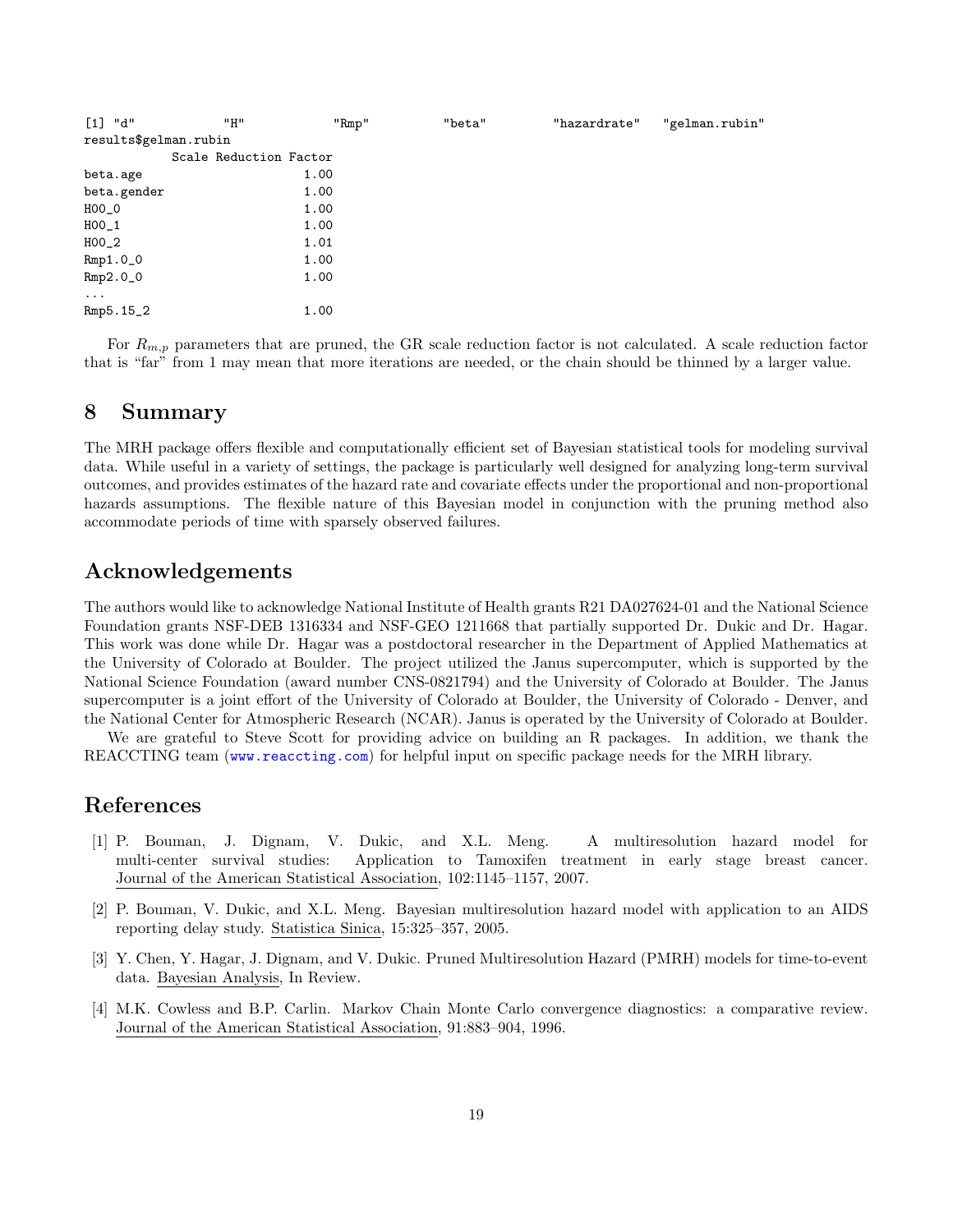| $[1]$ "d"             | "H"                    | "Rmp" | "beta" | "hazardrate" | "gelman.rubin" |
|-----------------------|------------------------|-------|--------|--------------|----------------|
| results\$gelman.rubin |                        |       |        |              |                |
|                       | Scale Reduction Factor |       |        |              |                |
| beta.age              |                        | 1.00  |        |              |                |
| beta.gender           |                        | 1.00  |        |              |                |
| $HOO_0$               |                        | 1.00  |        |              |                |
| $HOO_1$               |                        | 1.00  |        |              |                |
| $H00_2$               |                        | 1.01  |        |              |                |
| $Rmp1.0_0$            |                        | 1.00  |        |              |                |
| $Rmp2.0_0$            |                        | 1.00  |        |              |                |
| $\cdots$              |                        |       |        |              |                |
| Rmp5.15_2             |                        | 1.00  |        |              |                |
|                       |                        |       |        |              |                |

For  $R_{m,p}$  parameters that are pruned, the GR scale reduction factor is not calculated. A scale reduction factor that is "far" from 1 may mean that more iterations are needed, or the chain should be thinned by a larger value.

# 8 Summary

The MRH package offers flexible and computationally efficient set of Bayesian statistical tools for modeling survival data. While useful in a variety of settings, the package is particularly well designed for analyzing long-term survival outcomes, and provides estimates of the hazard rate and covariate effects under the proportional and non-proportional hazards assumptions. The flexible nature of this Bayesian model in conjunction with the pruning method also accommodate periods of time with sparsely observed failures.

# Acknowledgements

The authors would like to acknowledge National Institute of Health grants R21 DA027624-01 and the National Science Foundation grants NSF-DEB 1316334 and NSF-GEO 1211668 that partially supported Dr. Dukic and Dr. Hagar. This work was done while Dr. Hagar was a postdoctoral researcher in the Department of Applied Mathematics at the University of Colorado at Boulder. The project utilized the Janus supercomputer, which is supported by the National Science Foundation (award number CNS-0821794) and the University of Colorado at Boulder. The Janus supercomputer is a joint effort of the University of Colorado at Boulder, the University of Colorado - Denver, and the National Center for Atmospheric Research (NCAR). Janus is operated by the University of Colorado at Boulder.

We are grateful to Steve Scott for providing advice on building an R packages. In addition, we thank the REACCTING team (<www.reaccting.com>) for helpful input on specific package needs for the MRH library.

# References

- [1] P. Bouman, J. Dignam, V. Dukic, and X.L. Meng. A multiresolution hazard model for multi-center survival studies: Application to Tamoxifen treatment in early stage breast cancer. Journal of the American Statistical Association, 102:1145–1157, 2007.
- [2] P. Bouman, V. Dukic, and X.L. Meng. Bayesian multiresolution hazard model with application to an AIDS reporting delay study. Statistica Sinica, 15:325–357, 2005.
- [3] Y. Chen, Y. Hagar, J. Dignam, and V. Dukic. Pruned Multiresolution Hazard (PMRH) models for time-to-event data. Bayesian Analysis, In Review.
- [4] M.K. Cowless and B.P. Carlin. Markov Chain Monte Carlo convergence diagnostics: a comparative review. Journal of the American Statistical Association, 91:883–904, 1996.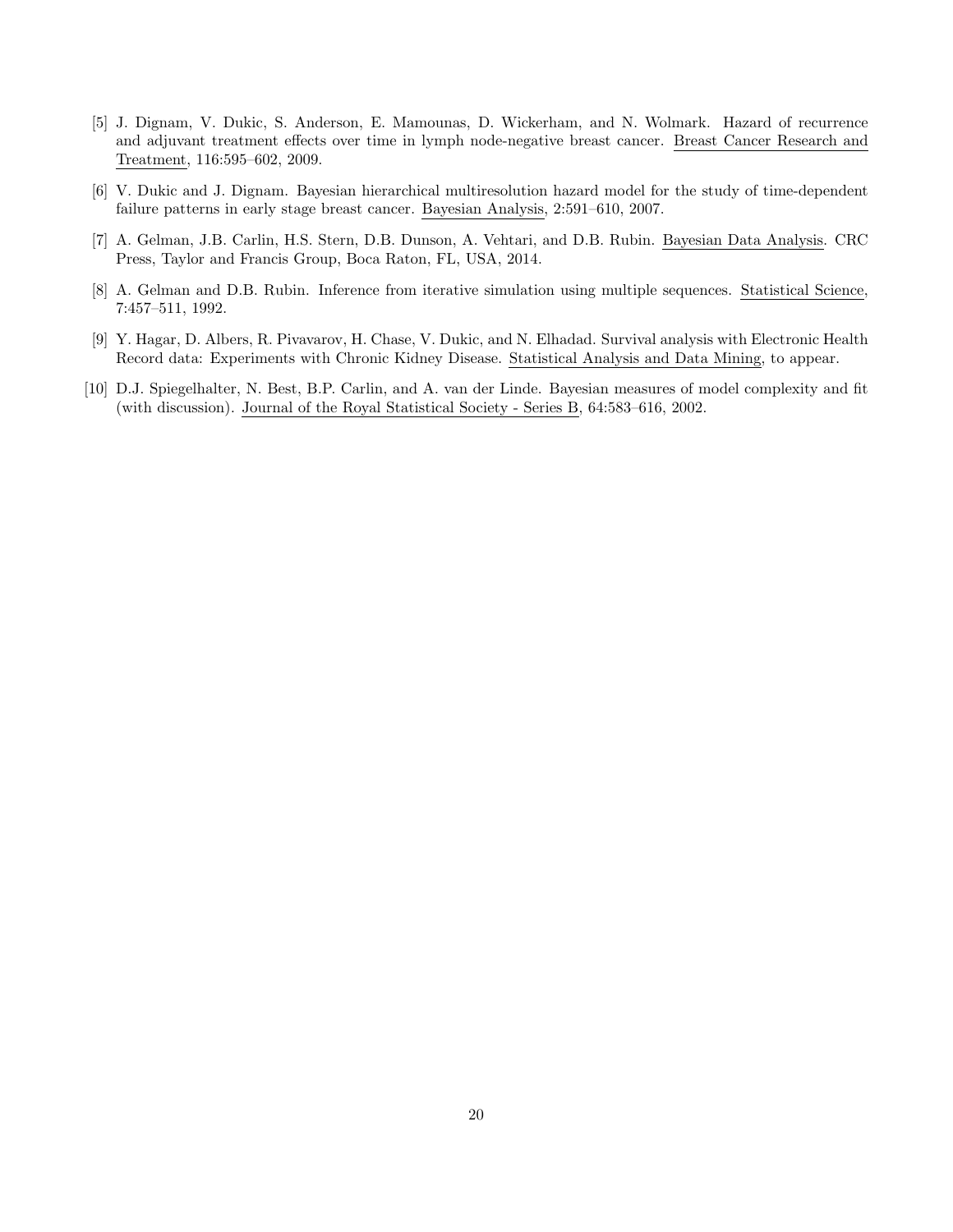- [5] J. Dignam, V. Dukic, S. Anderson, E. Mamounas, D. Wickerham, and N. Wolmark. Hazard of recurrence and adjuvant treatment effects over time in lymph node-negative breast cancer. Breast Cancer Research and Treatment, 116:595–602, 2009.
- [6] V. Dukic and J. Dignam. Bayesian hierarchical multiresolution hazard model for the study of time-dependent failure patterns in early stage breast cancer. Bayesian Analysis, 2:591–610, 2007.
- [7] A. Gelman, J.B. Carlin, H.S. Stern, D.B. Dunson, A. Vehtari, and D.B. Rubin. Bayesian Data Analysis. CRC Press, Taylor and Francis Group, Boca Raton, FL, USA, 2014.
- [8] A. Gelman and D.B. Rubin. Inference from iterative simulation using multiple sequences. Statistical Science, 7:457–511, 1992.
- [9] Y. Hagar, D. Albers, R. Pivavarov, H. Chase, V. Dukic, and N. Elhadad. Survival analysis with Electronic Health Record data: Experiments with Chronic Kidney Disease. Statistical Analysis and Data Mining, to appear.
- [10] D.J. Spiegelhalter, N. Best, B.P. Carlin, and A. van der Linde. Bayesian measures of model complexity and fit (with discussion). Journal of the Royal Statistical Society - Series B, 64:583–616, 2002.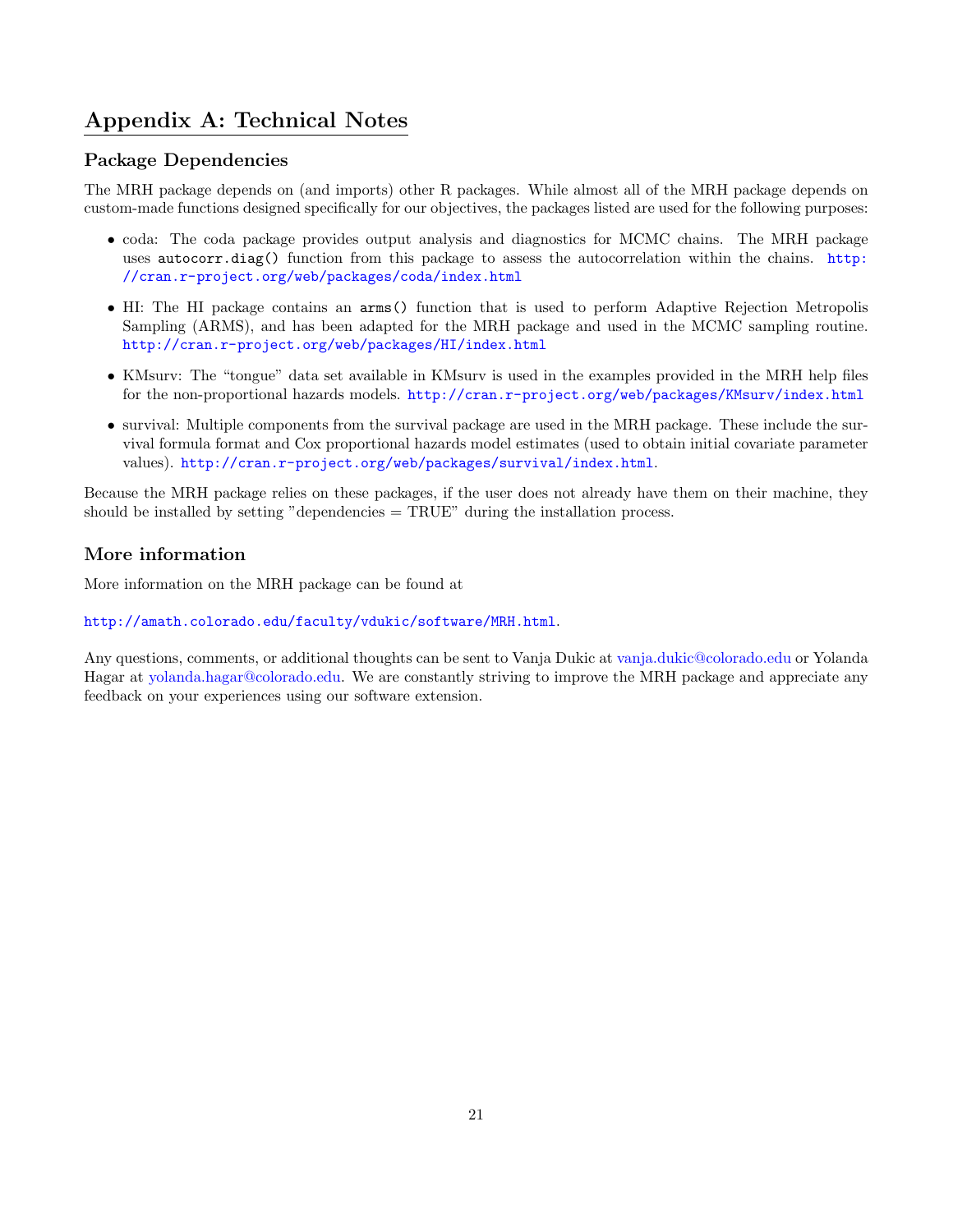# Appendix A: Technical Notes

# Package Dependencies

The MRH package depends on (and imports) other R packages. While almost all of the MRH package depends on custom-made functions designed specifically for our objectives, the packages listed are used for the following purposes:

- coda: The coda package provides output analysis and diagnostics for MCMC chains. The MRH package uses autocorr.diag() function from this package to assess the autocorrelation within the chains. [http:](http://cran.r-project.org/web/packages/coda/index.html) [//cran.r-project.org/web/packages/coda/index.html](http://cran.r-project.org/web/packages/coda/index.html)
- HI: The HI package contains an arms() function that is used to perform Adaptive Rejection Metropolis Sampling (ARMS), and has been adapted for the MRH package and used in the MCMC sampling routine. <http://cran.r-project.org/web/packages/HI/index.html>
- KMsurv: The "tongue" data set available in KMsurv is used in the examples provided in the MRH help files for the non-proportional hazards models. <http://cran.r-project.org/web/packages/KMsurv/index.html>
- survival: Multiple components from the survival package are used in the MRH package. These include the survival formula format and Cox proportional hazards model estimates (used to obtain initial covariate parameter values). <http://cran.r-project.org/web/packages/survival/index.html>.

Because the MRH package relies on these packages, if the user does not already have them on their machine, they should be installed by setting "dependencies = TRUE" during the installation process.

## More information

More information on the MRH package can be found at

<http://amath.colorado.edu/faculty/vdukic/software/MRH.html>.

Any questions, comments, or additional thoughts can be sent to Vanja Dukic at [vanja.dukic@colorado.edu](mailto:vanja.dukic@colorado.edu) or Yolanda Hagar at [yolanda.hagar@colorado.edu.](mailto:yolanda.hagar@colorado.edu) We are constantly striving to improve the MRH package and appreciate any feedback on your experiences using our software extension.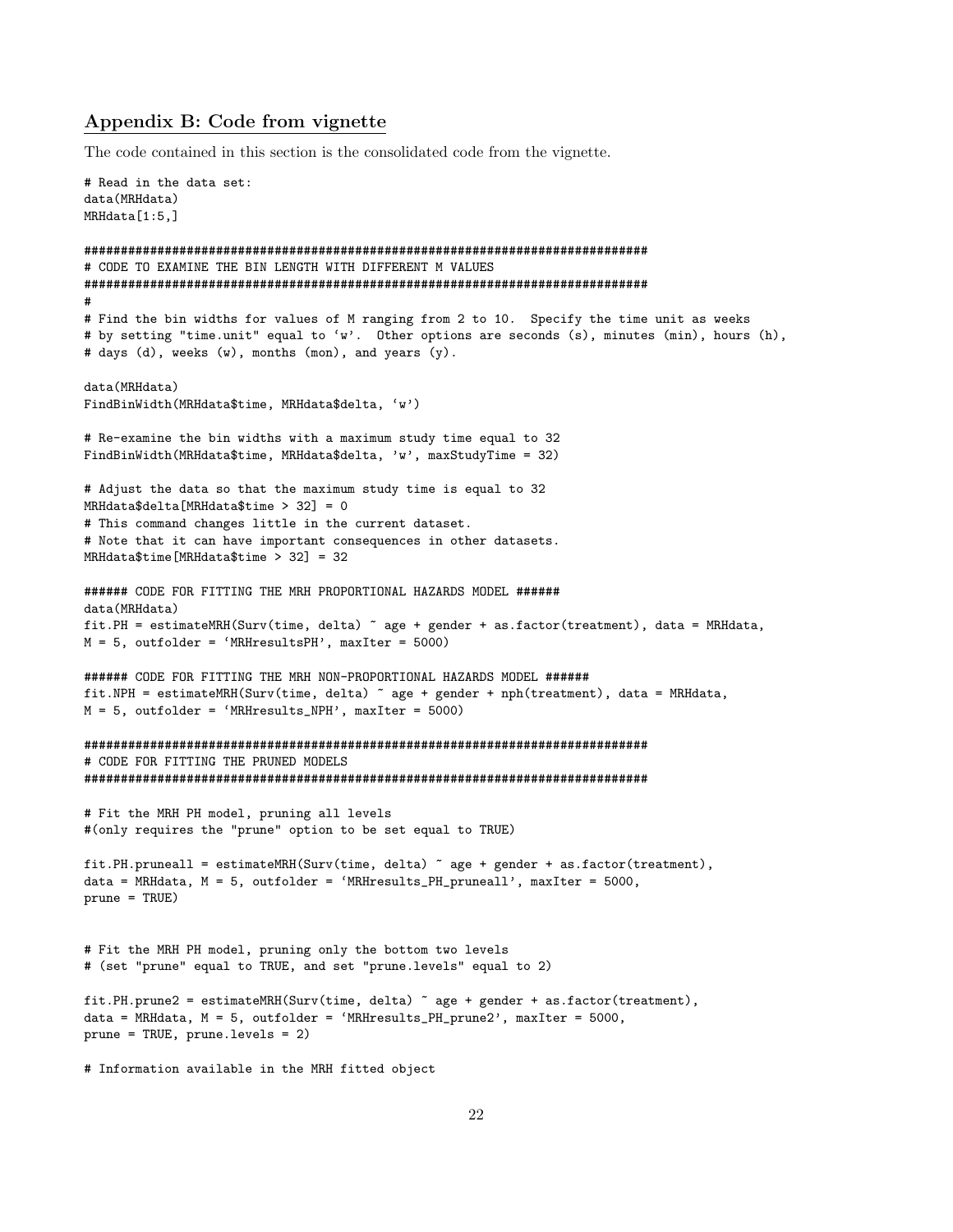## Appendix B: Code from vignette

The code contained in this section is the consolidated code from the vignette.

```
# Read in the data set:
data(MRHdata)
MRHdata[1:5,]
#############################################################################
# CODE TO EXAMINE THE BIN LENGTH WITH DIFFERENT M VALUES
#############################################################################
#
# Find the bin widths for values of M ranging from 2 to 10. Specify the time unit as weeks
# by setting "time.unit" equal to 'w'. Other options are seconds (s), minutes (min), hours (h),
# days (d), weeks (w), months (mon), and years (y).
data(MRHdata)
FindBinWidth(MRHdata$time, MRHdata$delta, 'w')
# Re-examine the bin widths with a maximum study time equal to 32
FindBinWidth(MRHdata$time, MRHdata$delta, 'w', maxStudyTime = 32)
# Adjust the data so that the maximum study time is equal to 32
MRHdata$delta[MRHdata$time > 32] = 0
# This command changes little in the current dataset.
# Note that it can have important consequences in other datasets.
MRHdata$time[MRHdata$time > 32] = 32
###### CODE FOR FITTING THE MRH PROPORTIONAL HAZARDS MODEL ######
data(MRHdata)
fit.PH = estimateMRH(Surv(time, delta) ~ age + gender + as.factor(treatment), data = MRHdata,
M = 5, outfolder = 'MRHresultsPH', maxIter = 5000)
###### CODE FOR FITTING THE MRH NON-PROPORTIONAL HAZARDS MODEL ######
fit.NPH = estimateMRH(Surv(time, delta) \tilde{ } age + gender + nph(treatment), data = MRHdata,
M = 5, outfolder = 'MRHresults_NPH', maxIter = 5000)
#############################################################################
# CODE FOR FITTING THE PRUNED MODELS
#############################################################################
# Fit the MRH PH model, pruning all levels
#(only requires the "prune" option to be set equal to TRUE)
fit.PH.pruneall = estimateMRH(Surv(time, delta) ~ age + gender + as.factor(treatment),
data = MRHdata, M = 5, outfolder = 'MRHresults_PH_pruneall', maxIter = 5000,
prune = TRUE)
# Fit the MRH PH model, pruning only the bottom two levels
# (set "prune" equal to TRUE, and set "prune.levels" equal to 2)
fit.PH.prune2 = estimateMRH(Surv(time, delta) ~ age + gender + as.factor(treatment),
data = MRHdata, M = 5, outfolder = 'MRHresults_PH_prune2', maxIter = 5000,
prune = TRUE, prune.levels = 2)
# Information available in the MRH fitted object
```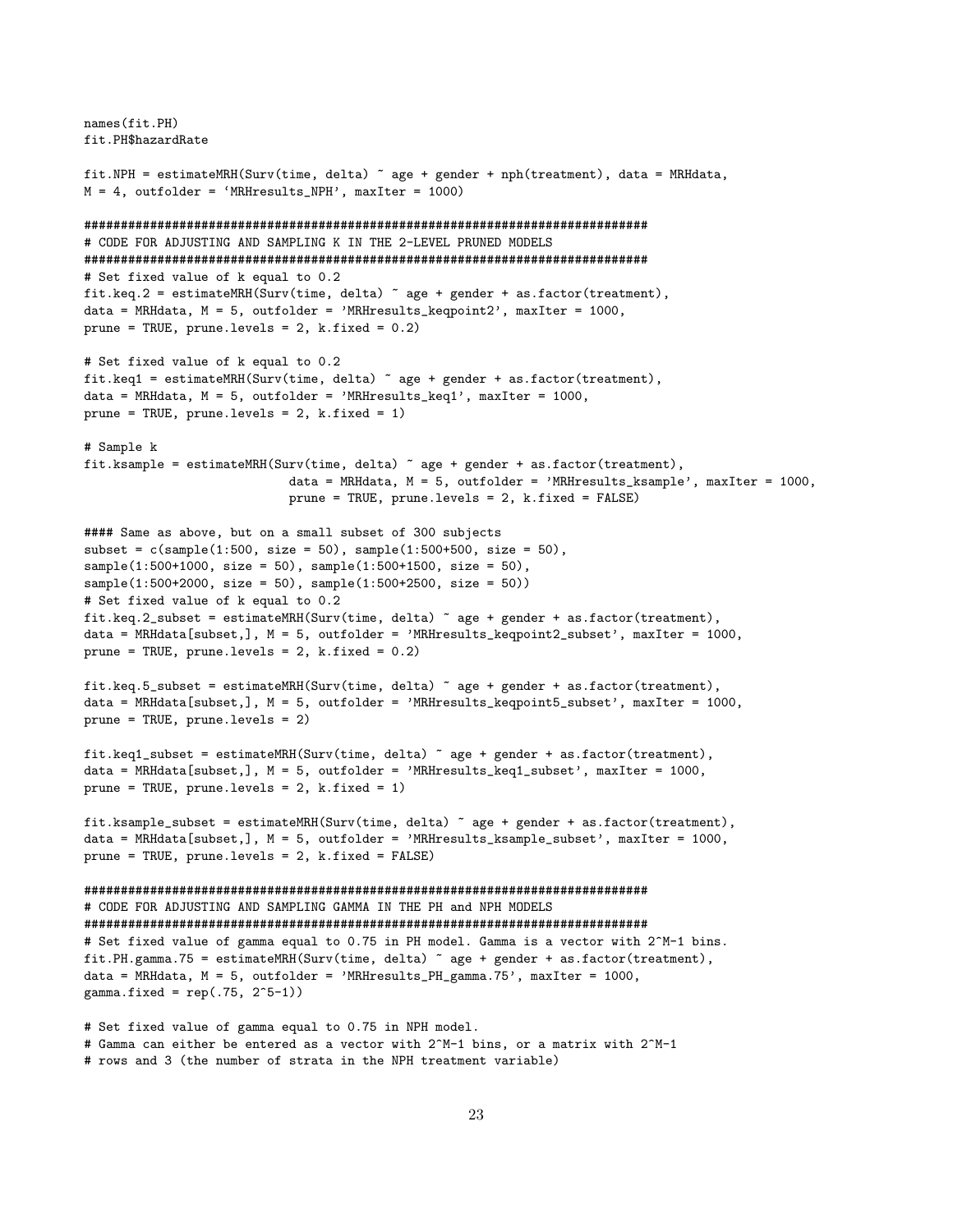```
names(fit.PH)
fit.PH$hazardRate
```

```
fit.NPH = estimateMRH(Surv(time, delta) \tilde{ } age + gender + nph(treatment), data = MRHdata,
M = 4, outfolder = 'MRHresults_NPH', maxIter = 1000)
#############################################################################
# CODE FOR ADJUSTING AND SAMPLING K IN THE 2-LEVEL PRUNED MODELS
#############################################################################
# Set fixed value of k equal to 0.2
fit.keq.2 = estimateMRH(Surv(time, delta) ~ age + gender + as.factor(treatment),
data = MRHdata, M = 5, outfolder = 'MRHresults_keqpoint2', maxIter = 1000,
prune = TRUE, prune.levels = 2, k.fixed = 0.2)
# Set fixed value of k equal to 0.2
fit.keq1 = estimateMRH(Surv(time, delta) ~ age + gender + as.factor(treatment),
data = MRHdata, M = 5, outfolder = 'MRHresults_keq1', maxIter = 1000,
prune = TRUE, prune.levels = 2, k.fixed = 1)
# Sample k
fit.ksample = estimateMRH(Surv(time, delta) ~ age + gender + as.factor(treatment),
                            data = MRHdata, M = 5, outfolder = 'MRHresults_ksample', maxIter = 1000,
                            prune = TRUE, prune.levels = 2, k.fixed = FALSE)
#### Same as above, but on a small subset of 300 subjects
subset = c(sample(1:500, size = 50), sample(1:500+500, size = 50),sample(1:500+1000, size = 50), sample(1:500+1500, size = 50),
sample(1:500+2000, size = 50), sample(1:500+2500, size = 50)# Set fixed value of k equal to 0.2
fit.keq.2_subset = estimateMRH(Surv(time, delta) ~ age + gender + as.factor(treatment),
data = MRHdata[subset,], M = 5, outfolder = 'MRHresults_keqpoint2_subset', maxIter = 1000,
prune = TRUE, prune.levels = 2, k.fixed = 0.2)
fit.keq.5_subset = estimateMRH(Surv(time, delta) ~ age + gender + as.factor(treatment),
data = MRHdata[subset,], M = 5, outfolder = 'MRHresults_keqpoint5_subset', maxIter = 1000,
prune = TRUE, prune.levels = 2)
fit.keq1_subset = estimateMRH(Surv(time, delta) ~ age + gender + as.factor(treatment),
data = MRHdata[subset,], M = 5, outfolder = 'MRHresults_keq1_subset', maxIter = 1000,
prune = TRUE, prune.levels = 2, k.fixed = 1)
fit.ksample_subset = estimateMRH(Surv(time, delta) ~ age + gender + as.factor(treatment),
data = MRHdata[subset,], M = 5, outfolder = 'MRHresults_ksample_subset', maxIter = 1000,
prune = TRUE, prune.levels = 2, k.fixed = FALSE)
#############################################################################
# CODE FOR ADJUSTING AND SAMPLING GAMMA IN THE PH and NPH MODELS
#############################################################################
# Set fixed value of gamma equal to 0.75 in PH model. Gamma is a vector with 2^M-1 bins.
fit.PH.gamma.75 = estimateMRH(Surv(time, delta) ~ age + gender + as.factor(treatment),
data = MRHdata, M = 5, outfolder = 'MRHresults_PH_gamma.75', maxIter = 1000,
gamma.fixed = rep(.75, 2^5-1))# Set fixed value of gamma equal to 0.75 in NPH model.
# Gamma can either be entered as a vector with 2^M-1 bins, or a matrix with 2^M-1
# rows and 3 (the number of strata in the NPH treatment variable)
```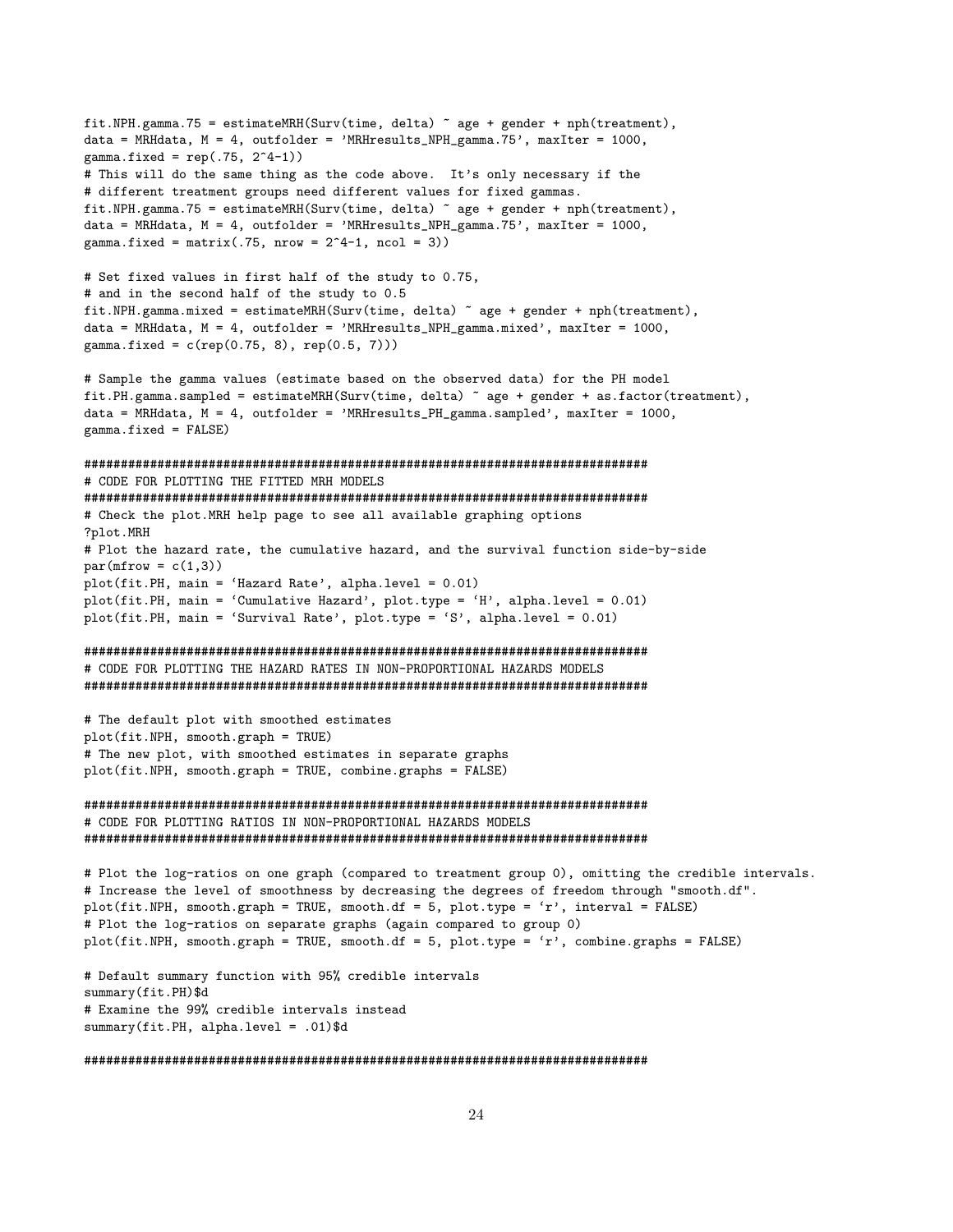```
fit.NPH.gamma.75 = estimateMRH(Surv(time, delta) \tilde{ } age + gender + nph(treatment),
data = MRHdata, M = 4, outfolder = 'MRHresults_NPH_gamma.75', maxIter = 1000,
gamma.fixed = rep(.75, 2^4-1))# This will do the same thing as the code above. It's only necessary if the
# different treatment groups need different values for fixed gammas.
fit.NPH.gamma.75 = estimateMRH(Surv(time, delta) \tilde{ } age + gender + nph(treatment),
data = MRHdata, M = 4, outfolder = 'MRHresults_NPH_gamma.75', maxIter = 1000,
gamma.fixed = matrix(.75, nrow = 2^4-1, ncol = 3))
# Set fixed values in first half of the study to 0.75,
# and in the second half of the study to 0.5
fit.NPH.gamma.mixed = estimateMRH(Surv(time, delta) ~ age + gender + nph(treatment),
data = MRHdata, M = 4, outfolder = 'MRHresults_NPH_gamma.mixed', maxIter = 1000,
gamma.fixed = c(rep(0.75, 8), rep(0.5, 7)))# Sample the gamma values (estimate based on the observed data) for the PH model
fit.PH.gamma.sampled = estimateMRH(Surv(time, delta) ~ age + gender + as.factor(treatment),
data = MRHdata, M = 4, outfolder = 'MRHresults_PH_gamma.sampled', maxIter = 1000,
gamma.fixed = FALSE)
#############################################################################
# CODE FOR PLOTTING THE FITTED MRH MODELS
#############################################################################
# Check the plot.MRH help page to see all available graphing options
?plot.MRH
# Plot the hazard rate, the cumulative hazard, and the survival function side-by-side
par(mfrow = c(1,3))plot(fit.PH, main = 'Hazard Rate', alpha.level = 0.01)
plot(fit.PH, main = 'Cumulative Hazard', plot.type = 'H', alpha.level = 0.01)
plot(fit.PH, main = 'Survival Rate', plot.type = 'S', alpha.level = 0.01)
#############################################################################
# CODE FOR PLOTTING THE HAZARD RATES IN NON-PROPORTIONAL HAZARDS MODELS
#############################################################################
# The default plot with smoothed estimates
plot(fit.NPH, smooth.graph = TRUE)
# The new plot, with smoothed estimates in separate graphs
plot(fit.NPH, smooth.graph = TRUE, combine.graphs = FALSE)
#############################################################################
# CODE FOR PLOTTING RATIOS IN NON-PROPORTIONAL HAZARDS MODELS
#############################################################################
# Plot the log-ratios on one graph (compared to treatment group 0), omitting the credible intervals.
# Increase the level of smoothness by decreasing the degrees of freedom through "smooth.df".
plot(fit.NPH, smooth.graph = TRUE, smooth.df = 5, plot.type = 'r', interval = FALSE)
# Plot the log-ratios on separate graphs (again compared to group 0)
plot(fit.NPH, smooth.graph = TRUE, smooth.df = 5, plot.type = 'r', combine.graphs = FALSE)
# Default summary function with 95% credible intervals
summary(fit.PH)$d
# Examine the 99% credible intervals instead
summary(fit.PH, alpha.level = .01)$d
```
#### #############################################################################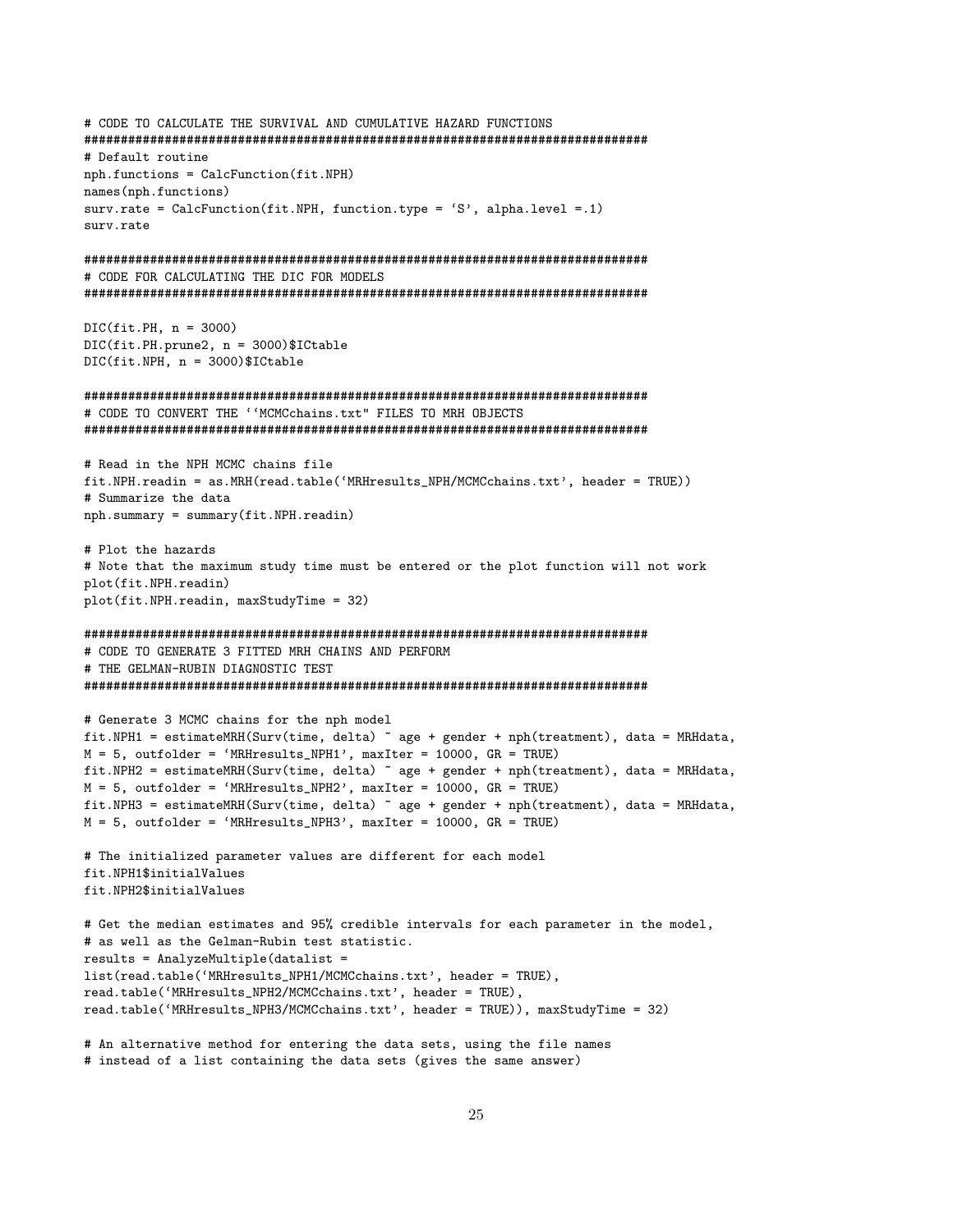# CODE TO CALCULATE THE SURVIVAL AND CUMULATIVE HAZARD FUNCTIONS ############################################################################# # Default routine nph.functions = CalcFunction(fit.NPH) names(nph.functions) surv.rate = CalcFunction(fit.NPH, function.type = 'S', alpha.level =.1) surv.rate ############################################################################# # CODE FOR CALCULATING THE DIC FOR MODELS #############################################################################  $DIC(fit.PH, n = 3000)$  $DIC(fit.PH.prune2, n = 3000) $ICtable$  $DIC(fit.NPH, n = 3000) $ICtable$ ############################################################################# # CODE TO CONVERT THE ''MCMCchains.txt" FILES TO MRH OBJECTS ############################################################################# # Read in the NPH MCMC chains file fit.NPH.readin = as.MRH(read.table('MRHresults\_NPH/MCMCchains.txt', header = TRUE)) # Summarize the data nph.summary = summary(fit.NPH.readin) # Plot the hazards # Note that the maximum study time must be entered or the plot function will not work plot(fit.NPH.readin) plot(fit.NPH.readin, maxStudyTime = 32) ############################################################################# # CODE TO GENERATE 3 FITTED MRH CHAINS AND PERFORM # THE GELMAN-RUBIN DIAGNOSTIC TEST ############################################################################# # Generate 3 MCMC chains for the nph model fit.NPH1 = estimateMRH(Surv(time, delta) ~ age + gender + nph(treatment), data = MRHdata,  $M = 5$ , outfolder = 'MRHresults\_NPH1', maxIter = 10000, GR = TRUE) fit.NPH2 = estimateMRH(Surv(time, delta) ~ age + gender + nph(treatment), data = MRHdata,  $M = 5$ , outfolder = 'MRHresults\_NPH2', maxIter = 10000, GR = TRUE) fit.NPH3 = estimateMRH(Surv(time, delta) ~ age + gender + nph(treatment), data = MRHdata,  $M = 5$ , outfolder = 'MRHresults\_NPH3', maxIter = 10000, GR = TRUE) # The initialized parameter values are different for each model fit.NPH1\$initialValues fit.NPH2\$initialValues # Get the median estimates and 95% credible intervals for each parameter in the model, # as well as the Gelman-Rubin test statistic. results = AnalyzeMultiple(datalist = list(read.table('MRHresults\_NPH1/MCMCchains.txt', header = TRUE), read.table('MRHresults\_NPH2/MCMCchains.txt', header = TRUE), read.table('MRHresults\_NPH3/MCMCchains.txt', header = TRUE)), maxStudyTime = 32) # An alternative method for entering the data sets, using the file names # instead of a list containing the data sets (gives the same answer)